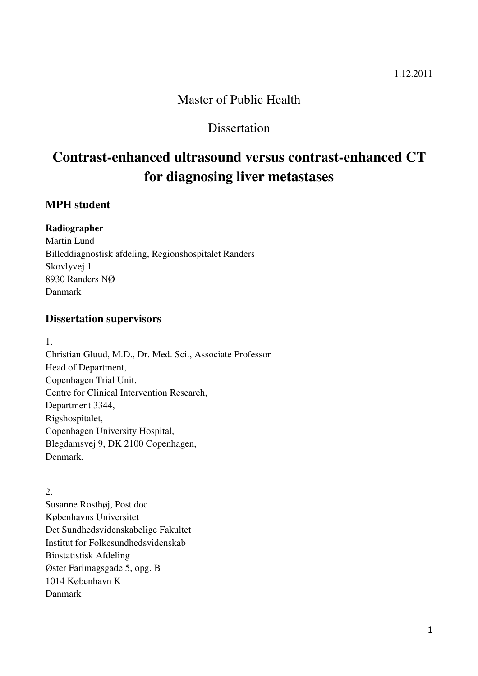## Master of Public Health

## **Dissertation**

# **Contrast-enhanced ultrasound versus contrast-enhanced CT for diagnosing liver metastases**

## **MPH student**

## **Radiographer**

Martin Lund Billeddiagnostisk afdeling, Regionshospitalet Randers Skovlyvej 1 8930 Randers NØ Danmark

## **Dissertation supervisors**

1.

Christian Gluud, M.D., Dr. Med. Sci., Associate Professor Head of Department, Copenhagen Trial Unit, Centre for Clinical Intervention Research, Department 3344, Rigshospitalet, Copenhagen University Hospital, Blegdamsvej 9, DK 2100 Copenhagen, Denmark.

 $2<sub>1</sub>$ Susanne Rosthøj, Post doc Københavns Universitet Det Sundhedsvidenskabelige Fakultet Institut for Folkesundhedsvidenskab Biostatistisk Afdeling Øster Farimagsgade 5, opg. B 1014 København K Danmark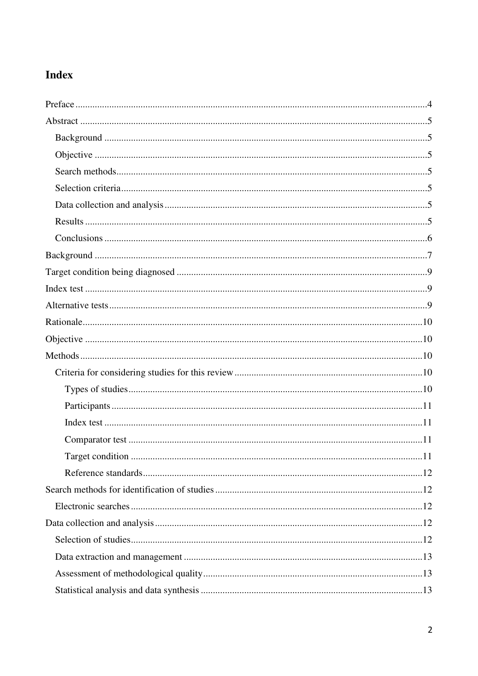# Index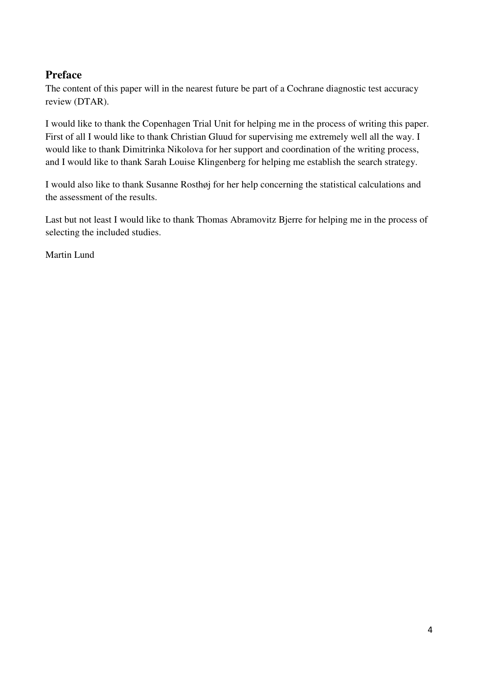## **Preface**

The content of this paper will in the nearest future be part of a Cochrane diagnostic test accuracy review (DTAR).

I would like to thank the Copenhagen Trial Unit for helping me in the process of writing this paper. First of all I would like to thank Christian Gluud for supervising me extremely well all the way. I would like to thank Dimitrinka Nikolova for her support and coordination of the writing process, and I would like to thank Sarah Louise Klingenberg for helping me establish the search strategy.

I would also like to thank Susanne Rosthøj for her help concerning the statistical calculations and the assessment of the results.

Last but not least I would like to thank Thomas Abramovitz Bjerre for helping me in the process of selecting the included studies.

Martin Lund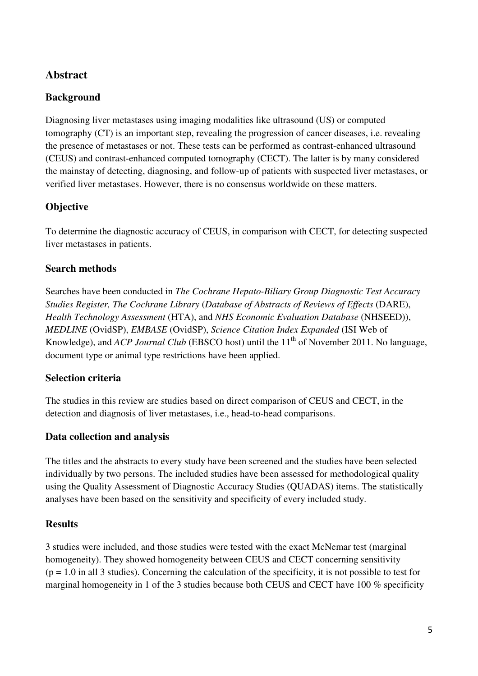## **Abstract**

## **Background**

Diagnosing liver metastases using imaging modalities like ultrasound (US) or computed tomography (CT) is an important step, revealing the progression of cancer diseases, i.e. revealing the presence of metastases or not. These tests can be performed as contrast-enhanced ultrasound (CEUS) and contrast-enhanced computed tomography (CECT). The latter is by many considered the mainstay of detecting, diagnosing, and follow-up of patients with suspected liver metastases, or verified liver metastases. However, there is no consensus worldwide on these matters.

## **Objective**

To determine the diagnostic accuracy of CEUS, in comparison with CECT, for detecting suspected liver metastases in patients.

## **Search methods**

Searches have been conducted in *The Cochrane Hepato-Biliary Group Diagnostic Test Accuracy Studies Register, The Cochrane Library* (*Database of Abstracts of Reviews of Effects* (DARE), *Health Technology Assessment* (HTA), and *NHS Economic Evaluation Database* (NHSEED)), *MEDLINE* (OvidSP), *EMBASE* (OvidSP), *Science Citation Index Expanded* (ISI Web of Knowledge), and *ACP Journal Club* (EBSCO host) until the 11<sup>th</sup> of November 2011. No language, document type or animal type restrictions have been applied.

## **Selection criteria**

The studies in this review are studies based on direct comparison of CEUS and CECT, in the detection and diagnosis of liver metastases, i.e., head-to-head comparisons.

## **Data collection and analysis**

The titles and the abstracts to every study have been screened and the studies have been selected individually by two persons. The included studies have been assessed for methodological quality using the Quality Assessment of Diagnostic Accuracy Studies (QUADAS) items. The statistically analyses have been based on the sensitivity and specificity of every included study.

## **Results**

3 studies were included, and those studies were tested with the exact McNemar test (marginal homogeneity). They showed homogeneity between CEUS and CECT concerning sensitivity  $(p = 1.0$  in all 3 studies). Concerning the calculation of the specificity, it is not possible to test for marginal homogeneity in 1 of the 3 studies because both CEUS and CECT have 100 % specificity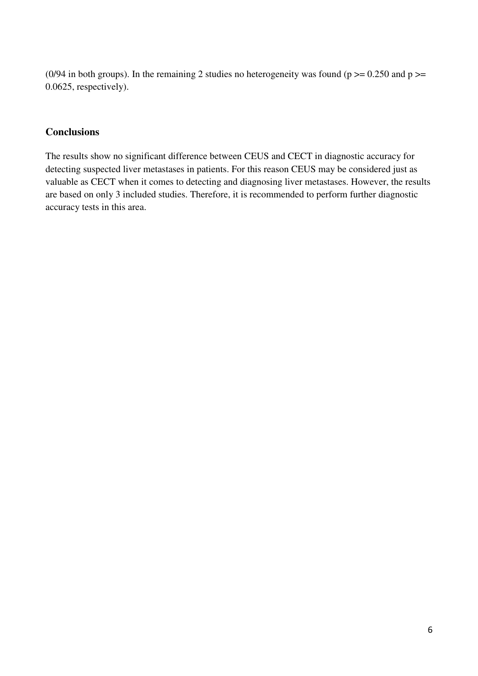(0/94 in both groups). In the remaining 2 studies no heterogeneity was found ( $p \ge 0.250$  and  $p \ge$ 0.0625, respectively).

### **Conclusions**

The results show no significant difference between CEUS and CECT in diagnostic accuracy for detecting suspected liver metastases in patients. For this reason CEUS may be considered just as valuable as CECT when it comes to detecting and diagnosing liver metastases. However, the results are based on only 3 included studies. Therefore, it is recommended to perform further diagnostic accuracy tests in this area.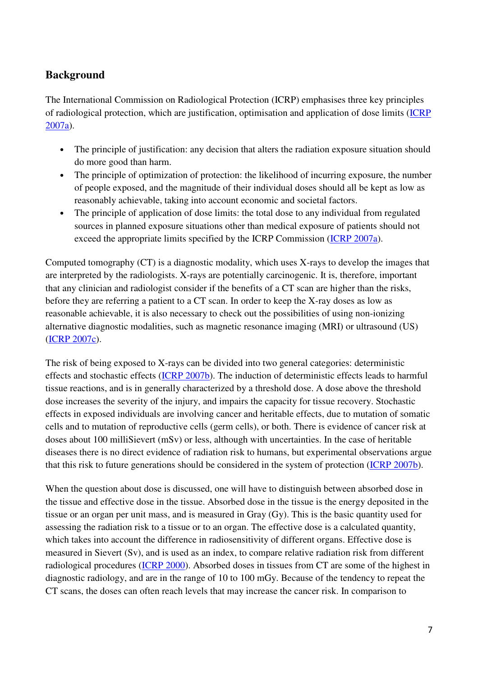## **Background**

The International Commission on Radiological Protection (ICRP) emphasises three key principles of radiological protection, which are justification, optimisation and application of dose limits (ICRP 2007a).

- The principle of justification: any decision that alters the radiation exposure situation should do more good than harm.
- The principle of optimization of protection: the likelihood of incurring exposure, the number of people exposed, and the magnitude of their individual doses should all be kept as low as reasonably achievable, taking into account economic and societal factors.
- The principle of application of dose limits: the total dose to any individual from regulated sources in planned exposure situations other than medical exposure of patients should not exceed the appropriate limits specified by the ICRP Commission (ICRP 2007a).

Computed tomography (CT) is a diagnostic modality, which uses X-rays to develop the images that are interpreted by the radiologists. X-rays are potentially carcinogenic. It is, therefore, important that any clinician and radiologist consider if the benefits of a CT scan are higher than the risks, before they are referring a patient to a CT scan. In order to keep the X-ray doses as low as reasonable achievable, it is also necessary to check out the possibilities of using non-ionizing alternative diagnostic modalities, such as magnetic resonance imaging (MRI) or ultrasound (US) (ICRP 2007c).

The risk of being exposed to X-rays can be divided into two general categories: deterministic effects and stochastic effects (ICRP 2007b). The induction of deterministic effects leads to harmful tissue reactions, and is in generally characterized by a threshold dose. A dose above the threshold dose increases the severity of the injury, and impairs the capacity for tissue recovery. Stochastic effects in exposed individuals are involving cancer and heritable effects, due to mutation of somatic cells and to mutation of reproductive cells (germ cells), or both. There is evidence of cancer risk at doses about 100 milliSievert (mSv) or less, although with uncertainties. In the case of heritable diseases there is no direct evidence of radiation risk to humans, but experimental observations argue that this risk to future generations should be considered in the system of protection (ICRP 2007b).

When the question about dose is discussed, one will have to distinguish between absorbed dose in the tissue and effective dose in the tissue. Absorbed dose in the tissue is the energy deposited in the tissue or an organ per unit mass, and is measured in Gray (Gy). This is the basic quantity used for assessing the radiation risk to a tissue or to an organ. The effective dose is a calculated quantity, which takes into account the difference in radiosensitivity of different organs. Effective dose is measured in Sievert (Sv), and is used as an index, to compare relative radiation risk from different radiological procedures (ICRP 2000). Absorbed doses in tissues from CT are some of the highest in diagnostic radiology, and are in the range of 10 to 100 mGy. Because of the tendency to repeat the CT scans, the doses can often reach levels that may increase the cancer risk. In comparison to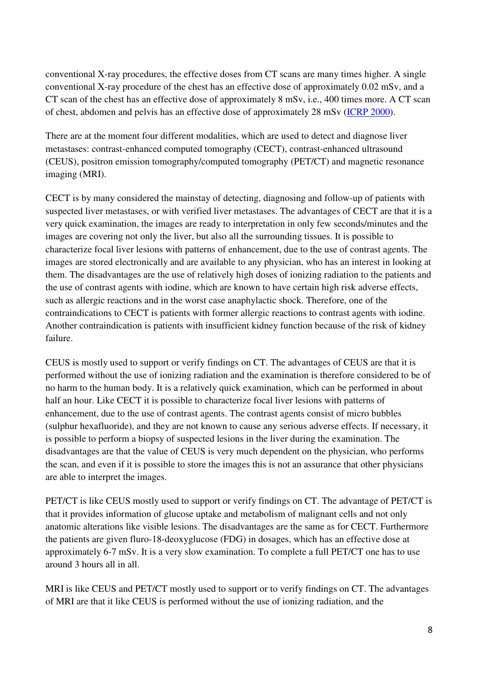conventional X-ray procedures, the effective doses from CT scans are many times higher. A single conventional X-ray procedure of the chest has an effective dose of approximately 0.02 mSv, and a CT scan of the chest has an effective dose of approximately 8 mSv, i.e., 400 times more. A CT scan of chest, abdomen and pelvis has an effective dose of approximately 28 mSv (ICRP 2000).

There are at the moment four different modalities, which are used to detect and diagnose liver metastases: contrast-enhanced computed tomography (CECT), contrast-enhanced ultrasound (CEUS), positron emission tomography/computed tomography (PET/CT) and magnetic resonance imaging (MRI).

CECT is by many considered the mainstay of detecting, diagnosing and follow-up of patients with suspected liver metastases, or with verified liver metastases. The advantages of CECT are that it is a very quick examination, the images are ready to interpretation in only few seconds/minutes and the images are covering not only the liver, but also all the surrounding tissues. It is possible to characterize focal liver lesions with patterns of enhancement, due to the use of contrast agents. The images are stored electronically and are available to any physician, who has an interest in looking at them. The disadvantages are the use of relatively high doses of ionizing radiation to the patients and the use of contrast agents with iodine, which are known to have certain high risk adverse effects, such as allergic reactions and in the worst case anaphylactic shock. Therefore, one of the contraindications to CECT is patients with former allergic reactions to contrast agents with iodine. Another contraindication is patients with insufficient kidney function because of the risk of kidney failure.

CEUS is mostly used to support or verify findings on CT. The advantages of CEUS are that it is performed without the use of ionizing radiation and the examination is therefore considered to be of no harm to the human body. It is a relatively quick examination, which can be performed in about half an hour. Like CECT it is possible to characterize focal liver lesions with patterns of enhancement, due to the use of contrast agents. The contrast agents consist of micro bubbles (sulphur hexafluoride), and they are not known to cause any serious adverse effects. If necessary, it is possible to perform a biopsy of suspected lesions in the liver during the examination. The disadvantages are that the value of CEUS is very much dependent on the physician, who performs the scan, and even if it is possible to store the images this is not an assurance that other physicians are able to interpret the images.

PET/CT is like CEUS mostly used to support or verify findings on CT. The advantage of PET/CT is that it provides information of glucose uptake and metabolism of malignant cells and not only anatomic alterations like visible lesions. The disadvantages are the same as for CECT. Furthermore the patients are given fluro-18-deoxyglucose (FDG) in dosages, which has an effective dose at approximately 6-7 mSv. It is a very slow examination. To complete a full PET/CT one has to use around 3 hours all in all.

MRI is like CEUS and PET/CT mostly used to support or to verify findings on CT. The advantages of MRI are that it like CEUS is performed without the use of ionizing radiation, and the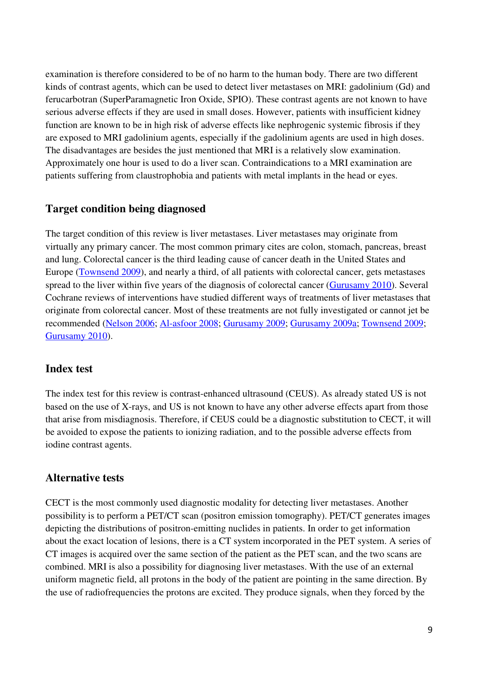examination is therefore considered to be of no harm to the human body. There are two different kinds of contrast agents, which can be used to detect liver metastases on MRI: gadolinium (Gd) and ferucarbotran (SuperParamagnetic Iron Oxide, SPIO). These contrast agents are not known to have serious adverse effects if they are used in small doses. However, patients with insufficient kidney function are known to be in high risk of adverse effects like nephrogenic systemic fibrosis if they are exposed to MRI gadolinium agents, especially if the gadolinium agents are used in high doses. The disadvantages are besides the just mentioned that MRI is a relatively slow examination. Approximately one hour is used to do a liver scan. Contraindications to a MRI examination are patients suffering from claustrophobia and patients with metal implants in the head or eyes.

## **Target condition being diagnosed**

The target condition of this review is liver metastases. Liver metastases may originate from virtually any primary cancer. The most common primary cites are colon, stomach, pancreas, breast and lung. Colorectal cancer is the third leading cause of cancer death in the United States and Europe (Townsend 2009), and nearly a third, of all patients with colorectal cancer, gets metastases spread to the liver within five years of the diagnosis of colorectal cancer (Gurusamy 2010). Several Cochrane reviews of interventions have studied different ways of treatments of liver metastases that originate from colorectal cancer. Most of these treatments are not fully investigated or cannot jet be recommended (Nelson 2006; Al-asfoor 2008; Gurusamy 2009; Gurusamy 2009a; Townsend 2009; Gurusamy 2010).

## **Index test**

The index test for this review is contrast-enhanced ultrasound (CEUS). As already stated US is not based on the use of X-rays, and US is not known to have any other adverse effects apart from those that arise from misdiagnosis. Therefore, if CEUS could be a diagnostic substitution to CECT, it will be avoided to expose the patients to ionizing radiation, and to the possible adverse effects from iodine contrast agents.

## **Alternative tests**

CECT is the most commonly used diagnostic modality for detecting liver metastases. Another possibility is to perform a PET/CT scan (positron emission tomography). PET/CT generates images depicting the distributions of positron-emitting nuclides in patients. In order to get information about the exact location of lesions, there is a CT system incorporated in the PET system. A series of CT images is acquired over the same section of the patient as the PET scan, and the two scans are combined. MRI is also a possibility for diagnosing liver metastases. With the use of an external uniform magnetic field, all protons in the body of the patient are pointing in the same direction. By the use of radiofrequencies the protons are excited. They produce signals, when they forced by the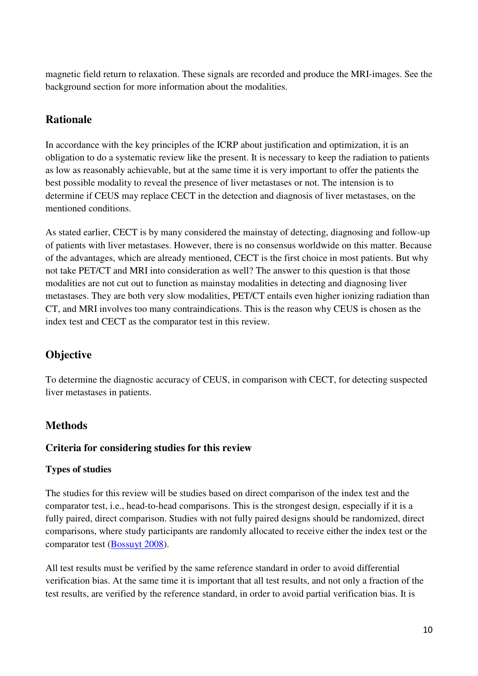magnetic field return to relaxation. These signals are recorded and produce the MRI-images. See the background section for more information about the modalities.

## **Rationale**

In accordance with the key principles of the ICRP about justification and optimization, it is an obligation to do a systematic review like the present. It is necessary to keep the radiation to patients as low as reasonably achievable, but at the same time it is very important to offer the patients the best possible modality to reveal the presence of liver metastases or not. The intension is to determine if CEUS may replace CECT in the detection and diagnosis of liver metastases, on the mentioned conditions.

As stated earlier, CECT is by many considered the mainstay of detecting, diagnosing and follow-up of patients with liver metastases. However, there is no consensus worldwide on this matter. Because of the advantages, which are already mentioned, CECT is the first choice in most patients. But why not take PET/CT and MRI into consideration as well? The answer to this question is that those modalities are not cut out to function as mainstay modalities in detecting and diagnosing liver metastases. They are both very slow modalities, PET/CT entails even higher ionizing radiation than CT, and MRI involves too many contraindications. This is the reason why CEUS is chosen as the index test and CECT as the comparator test in this review.

## **Objective**

To determine the diagnostic accuracy of CEUS, in comparison with CECT, for detecting suspected liver metastases in patients.

## **Methods**

## **Criteria for considering studies for this review**

## **Types of studies**

The studies for this review will be studies based on direct comparison of the index test and the comparator test, i.e., head-to-head comparisons. This is the strongest design, especially if it is a fully paired, direct comparison. Studies with not fully paired designs should be randomized, direct comparisons, where study participants are randomly allocated to receive either the index test or the comparator test (Bossuyt 2008).

All test results must be verified by the same reference standard in order to avoid differential verification bias. At the same time it is important that all test results, and not only a fraction of the test results, are verified by the reference standard, in order to avoid partial verification bias. It is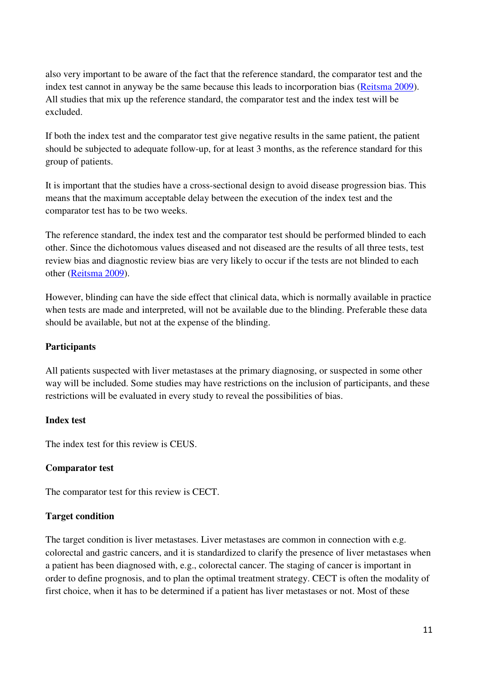also very important to be aware of the fact that the reference standard, the comparator test and the index test cannot in anyway be the same because this leads to incorporation bias (Reitsma 2009). All studies that mix up the reference standard, the comparator test and the index test will be excluded.

If both the index test and the comparator test give negative results in the same patient, the patient should be subjected to adequate follow-up, for at least 3 months, as the reference standard for this group of patients.

It is important that the studies have a cross-sectional design to avoid disease progression bias. This means that the maximum acceptable delay between the execution of the index test and the comparator test has to be two weeks.

The reference standard, the index test and the comparator test should be performed blinded to each other. Since the dichotomous values diseased and not diseased are the results of all three tests, test review bias and diagnostic review bias are very likely to occur if the tests are not blinded to each other (Reitsma 2009).

However, blinding can have the side effect that clinical data, which is normally available in practice when tests are made and interpreted, will not be available due to the blinding. Preferable these data should be available, but not at the expense of the blinding.

## **Participants**

All patients suspected with liver metastases at the primary diagnosing, or suspected in some other way will be included. Some studies may have restrictions on the inclusion of participants, and these restrictions will be evaluated in every study to reveal the possibilities of bias.

## **Index test**

The index test for this review is CEUS.

#### **Comparator test**

The comparator test for this review is CECT.

#### **Target condition**

The target condition is liver metastases. Liver metastases are common in connection with e.g. colorectal and gastric cancers, and it is standardized to clarify the presence of liver metastases when a patient has been diagnosed with, e.g., colorectal cancer. The staging of cancer is important in order to define prognosis, and to plan the optimal treatment strategy. CECT is often the modality of first choice, when it has to be determined if a patient has liver metastases or not. Most of these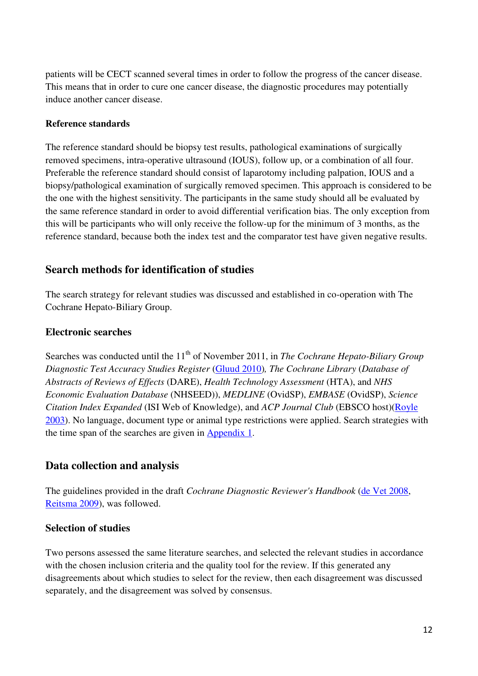patients will be CECT scanned several times in order to follow the progress of the cancer disease. This means that in order to cure one cancer disease, the diagnostic procedures may potentially induce another cancer disease.

#### **Reference standards**

The reference standard should be biopsy test results, pathological examinations of surgically removed specimens, intra-operative ultrasound (IOUS), follow up, or a combination of all four. Preferable the reference standard should consist of laparotomy including palpation, IOUS and a biopsy/pathological examination of surgically removed specimen. This approach is considered to be the one with the highest sensitivity. The participants in the same study should all be evaluated by the same reference standard in order to avoid differential verification bias. The only exception from this will be participants who will only receive the follow-up for the minimum of 3 months, as the reference standard, because both the index test and the comparator test have given negative results.

## **Search methods for identification of studies**

The search strategy for relevant studies was discussed and established in co-operation with The Cochrane Hepato-Biliary Group.

## **Electronic searches**

Searches was conducted until the 11<sup>th</sup> of November 2011, in *The Cochrane Hepato-Biliary Group Diagnostic Test Accuracy Studies Register* (Gluud 2010)*, The Cochrane Library* (*Database of Abstracts of Reviews of Effects* (DARE), *Health Technology Assessment* (HTA), and *NHS Economic Evaluation Database* (NHSEED)), *MEDLINE* (OvidSP), *EMBASE* (OvidSP), *Science Citation Index Expanded* (ISI Web of Knowledge), and *ACP Journal Club* (EBSCO host)(Royle 2003). No language, document type or animal type restrictions were applied. Search strategies with the time span of the searches are given in Appendix 1.

## **Data collection and analysis**

The guidelines provided in the draft *Cochrane Diagnostic Reviewer's Handbook* (de Vet 2008, Reitsma 2009), was followed.

## **Selection of studies**

Two persons assessed the same literature searches, and selected the relevant studies in accordance with the chosen inclusion criteria and the quality tool for the review. If this generated any disagreements about which studies to select for the review, then each disagreement was discussed separately, and the disagreement was solved by consensus.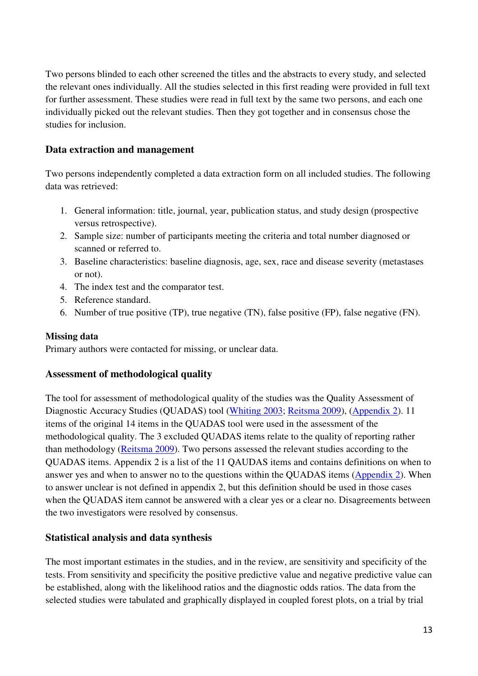Two persons blinded to each other screened the titles and the abstracts to every study, and selected the relevant ones individually. All the studies selected in this first reading were provided in full text for further assessment. These studies were read in full text by the same two persons, and each one individually picked out the relevant studies. Then they got together and in consensus chose the studies for inclusion.

## **Data extraction and management**

Two persons independently completed a data extraction form on all included studies. The following data was retrieved:

- 1. General information: title, journal, year, publication status, and study design (prospective versus retrospective).
- 2. Sample size: number of participants meeting the criteria and total number diagnosed or scanned or referred to.
- 3. Baseline characteristics: baseline diagnosis, age, sex, race and disease severity (metastases or not).
- 4. The index test and the comparator test.
- 5. Reference standard.
- 6. Number of true positive (TP), true negative (TN), false positive (FP), false negative (FN).

## **Missing data**

Primary authors were contacted for missing, or unclear data.

## **Assessment of methodological quality**

The tool for assessment of methodological quality of the studies was the Quality Assessment of Diagnostic Accuracy Studies (QUADAS) tool (Whiting 2003; Reitsma 2009), (Appendix 2). 11 items of the original 14 items in the QUADAS tool were used in the assessment of the methodological quality. The 3 excluded QUADAS items relate to the quality of reporting rather than methodology (Reitsma 2009). Two persons assessed the relevant studies according to the QUADAS items. Appendix 2 is a list of the 11 QAUDAS items and contains definitions on when to answer yes and when to answer no to the questions within the QUADAS items (Appendix 2). When to answer unclear is not defined in appendix 2, but this definition should be used in those cases when the QUADAS item cannot be answered with a clear yes or a clear no. Disagreements between the two investigators were resolved by consensus.

## **Statistical analysis and data synthesis**

The most important estimates in the studies, and in the review, are sensitivity and specificity of the tests. From sensitivity and specificity the positive predictive value and negative predictive value can be established, along with the likelihood ratios and the diagnostic odds ratios. The data from the selected studies were tabulated and graphically displayed in coupled forest plots, on a trial by trial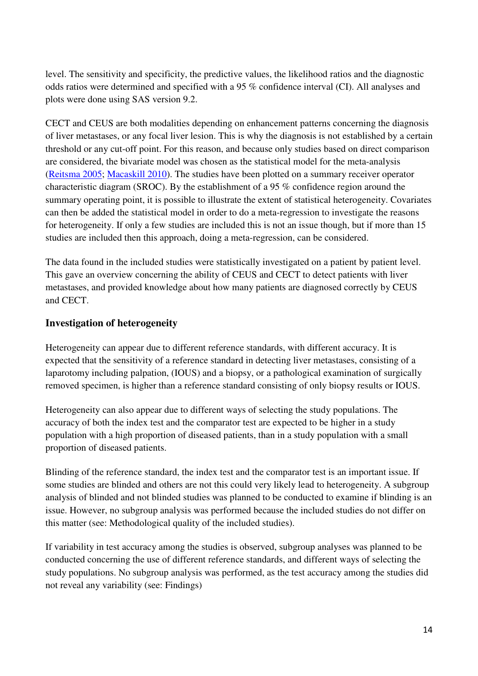level. The sensitivity and specificity, the predictive values, the likelihood ratios and the diagnostic odds ratios were determined and specified with a 95 % confidence interval (CI). All analyses and plots were done using SAS version 9.2.

CECT and CEUS are both modalities depending on enhancement patterns concerning the diagnosis of liver metastases, or any focal liver lesion. This is why the diagnosis is not established by a certain threshold or any cut-off point. For this reason, and because only studies based on direct comparison are considered, the bivariate model was chosen as the statistical model for the meta-analysis (Reitsma 2005; Macaskill 2010). The studies have been plotted on a summary receiver operator characteristic diagram (SROC). By the establishment of a 95 % confidence region around the summary operating point, it is possible to illustrate the extent of statistical heterogeneity. Covariates can then be added the statistical model in order to do a meta-regression to investigate the reasons for heterogeneity. If only a few studies are included this is not an issue though, but if more than 15 studies are included then this approach, doing a meta-regression, can be considered.

The data found in the included studies were statistically investigated on a patient by patient level. This gave an overview concerning the ability of CEUS and CECT to detect patients with liver metastases, and provided knowledge about how many patients are diagnosed correctly by CEUS and CECT.

## **Investigation of heterogeneity**

Heterogeneity can appear due to different reference standards, with different accuracy. It is expected that the sensitivity of a reference standard in detecting liver metastases, consisting of a laparotomy including palpation, (IOUS) and a biopsy, or a pathological examination of surgically removed specimen, is higher than a reference standard consisting of only biopsy results or IOUS.

Heterogeneity can also appear due to different ways of selecting the study populations. The accuracy of both the index test and the comparator test are expected to be higher in a study population with a high proportion of diseased patients, than in a study population with a small proportion of diseased patients.

Blinding of the reference standard, the index test and the comparator test is an important issue. If some studies are blinded and others are not this could very likely lead to heterogeneity. A subgroup analysis of blinded and not blinded studies was planned to be conducted to examine if blinding is an issue. However, no subgroup analysis was performed because the included studies do not differ on this matter (see: Methodological quality of the included studies).

If variability in test accuracy among the studies is observed, subgroup analyses was planned to be conducted concerning the use of different reference standards, and different ways of selecting the study populations. No subgroup analysis was performed, as the test accuracy among the studies did not reveal any variability (see: Findings)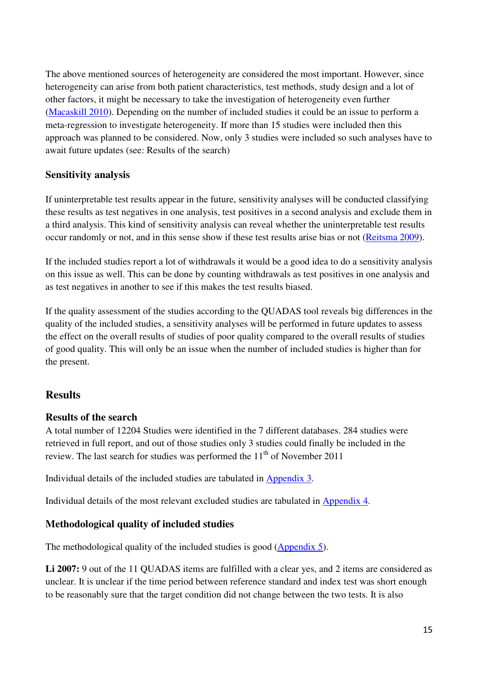The above mentioned sources of heterogeneity are considered the most important. However, since heterogeneity can arise from both patient characteristics, test methods, study design and a lot of other factors, it might be necessary to take the investigation of heterogeneity even further (Macaskill 2010). Depending on the number of included studies it could be an issue to perform a meta-regression to investigate heterogeneity. If more than 15 studies were included then this approach was planned to be considered. Now, only 3 studies were included so such analyses have to await future updates (see: Results of the search)

## **Sensitivity analysis**

If uninterpretable test results appear in the future, sensitivity analyses will be conducted classifying these results as test negatives in one analysis, test positives in a second analysis and exclude them in a third analysis. This kind of sensitivity analysis can reveal whether the uninterpretable test results occur randomly or not, and in this sense show if these test results arise bias or not (Reitsma 2009).

If the included studies report a lot of withdrawals it would be a good idea to do a sensitivity analysis on this issue as well. This can be done by counting withdrawals as test positives in one analysis and as test negatives in another to see if this makes the test results biased.

If the quality assessment of the studies according to the QUADAS tool reveals big differences in the quality of the included studies, a sensitivity analyses will be performed in future updates to assess the effect on the overall results of studies of poor quality compared to the overall results of studies of good quality. This will only be an issue when the number of included studies is higher than for the present.

## **Results**

#### **Results of the search**

A total number of 12204 Studies were identified in the 7 different databases. 284 studies were retrieved in full report, and out of those studies only 3 studies could finally be included in the review. The last search for studies was performed the  $11<sup>th</sup>$  of November 2011

Individual details of the included studies are tabulated in Appendix 3.

Individual details of the most relevant excluded studies are tabulated in Appendix 4.

## **Methodological quality of included studies**

The methodological quality of the included studies is good (Appendix 5).

Li 2007: 9 out of the 11 QUADAS items are fulfilled with a clear yes, and 2 items are considered as unclear. It is unclear if the time period between reference standard and index test was short enough to be reasonably sure that the target condition did not change between the two tests. It is also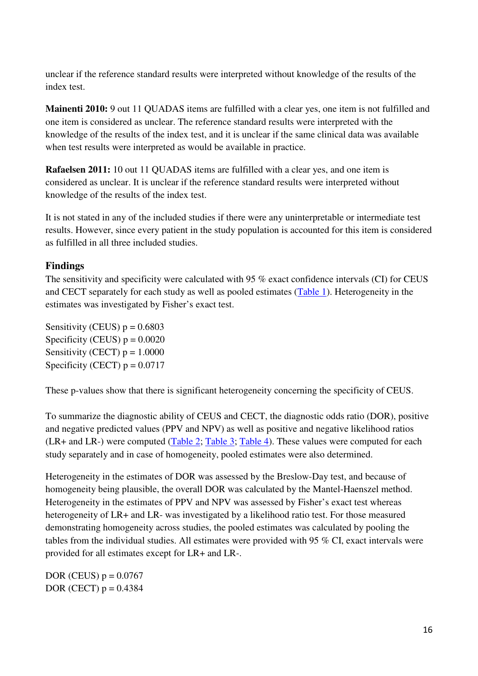unclear if the reference standard results were interpreted without knowledge of the results of the index test.

**Mainenti 2010:** 9 out 11 QUADAS items are fulfilled with a clear yes, one item is not fulfilled and one item is considered as unclear. The reference standard results were interpreted with the knowledge of the results of the index test, and it is unclear if the same clinical data was available when test results were interpreted as would be available in practice.

**Rafaelsen 2011:** 10 out 11 QUADAS items are fulfilled with a clear yes, and one item is considered as unclear. It is unclear if the reference standard results were interpreted without knowledge of the results of the index test.

It is not stated in any of the included studies if there were any uninterpretable or intermediate test results. However, since every patient in the study population is accounted for this item is considered as fulfilled in all three included studies.

## **Findings**

The sensitivity and specificity were calculated with 95 % exact confidence intervals (CI) for CEUS and CECT separately for each study as well as pooled estimates (Table 1). Heterogeneity in the estimates was investigated by Fisher's exact test.

Sensitivity (CEUS)  $p = 0.6803$ Specificity (CEUS)  $p = 0.0020$ Sensitivity (CECT)  $p = 1.0000$ Specificity (CECT)  $p = 0.0717$ 

These p-values show that there is significant heterogeneity concerning the specificity of CEUS.

To summarize the diagnostic ability of CEUS and CECT, the diagnostic odds ratio (DOR), positive and negative predicted values (PPV and NPV) as well as positive and negative likelihood ratios (LR+ and LR-) were computed (Table 2; Table 3; Table 4). These values were computed for each study separately and in case of homogeneity, pooled estimates were also determined.

Heterogeneity in the estimates of DOR was assessed by the Breslow-Day test, and because of homogeneity being plausible, the overall DOR was calculated by the Mantel-Haenszel method. Heterogeneity in the estimates of PPV and NPV was assessed by Fisher's exact test whereas heterogeneity of LR+ and LR- was investigated by a likelihood ratio test. For those measured demonstrating homogeneity across studies, the pooled estimates was calculated by pooling the tables from the individual studies. All estimates were provided with 95 % CI, exact intervals were provided for all estimates except for LR+ and LR-.

DOR (CEUS)  $p = 0.0767$ DOR (CECT)  $p = 0.4384$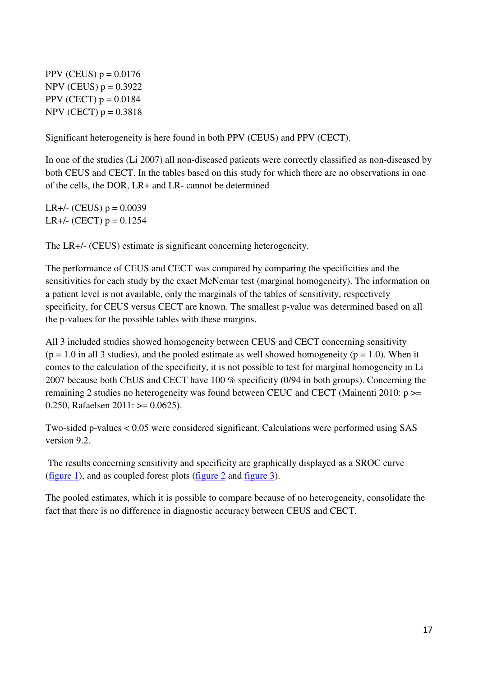PPV (CEUS)  $p = 0.0176$  $NPV$  (CEUS)  $p = 0.3922$ PPV (CECT)  $p = 0.0184$  $NPV (CECT) p = 0.3818$ 

Significant heterogeneity is here found in both PPV (CEUS) and PPV (CECT).

In one of the studies (Li 2007) all non-diseased patients were correctly classified as non-diseased by both CEUS and CECT. In the tables based on this study for which there are no observations in one of the cells, the DOR, LR+ and LR- cannot be determined

LR+/- (CEUS)  $p = 0.0039$ LR+ $/$ - (CECT) p = 0.1254

The LR+/- (CEUS) estimate is significant concerning heterogeneity.

The performance of CEUS and CECT was compared by comparing the specificities and the sensitivities for each study by the exact McNemar test (marginal homogeneity). The information on a patient level is not available, only the marginals of the tables of sensitivity, respectively specificity, for CEUS versus CECT are known. The smallest p-value was determined based on all the p-values for the possible tables with these margins.

All 3 included studies showed homogeneity between CEUS and CECT concerning sensitivity  $(p = 1.0$  in all 3 studies), and the pooled estimate as well showed homogeneity  $(p = 1.0)$ . When it comes to the calculation of the specificity, it is not possible to test for marginal homogeneity in Li 2007 because both CEUS and CECT have 100 % specificity (0/94 in both groups). Concerning the remaining 2 studies no heterogeneity was found between CEUC and CECT (Mainenti 2010: p >= 0.250, Rafaelsen  $2011$ :  $>= 0.0625$ ).

Two-sided p-values < 0.05 were considered significant. Calculations were performed using SAS version 9.2.

 The results concerning sensitivity and specificity are graphically displayed as a SROC curve (figure 1), and as coupled forest plots (figure 2 and figure 3).

The pooled estimates, which it is possible to compare because of no heterogeneity, consolidate the fact that there is no difference in diagnostic accuracy between CEUS and CECT.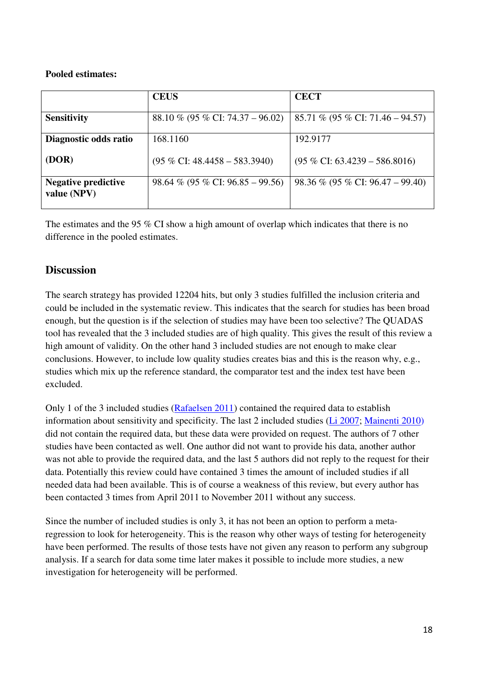#### **Pooled estimates:**

|                                           | <b>CEUS</b>                              | <b>CECT</b>                              |
|-------------------------------------------|------------------------------------------|------------------------------------------|
| <b>Sensitivity</b>                        | 88.10 % (95 % CI: 74.37 – 96.02)         | 85.71 % (95 % CI: 71.46 – 94.57)         |
| Diagnostic odds ratio                     | 168.1160                                 | 192.9177                                 |
| (DOR)                                     | $(95\% \text{ CI: } 48.4458 - 583.3940)$ | $(95\% \text{ CI: } 63.4239 - 586.8016)$ |
| <b>Negative predictive</b><br>value (NPV) | $98.64\%$ (95 % CI: 96.85 – 99.56)       | $98.36\%$ (95 % CI: 96.47 – 99.40)       |

The estimates and the 95 % CI show a high amount of overlap which indicates that there is no difference in the pooled estimates.

## **Discussion**

The search strategy has provided 12204 hits, but only 3 studies fulfilled the inclusion criteria and could be included in the systematic review. This indicates that the search for studies has been broad enough, but the question is if the selection of studies may have been too selective? The QUADAS tool has revealed that the 3 included studies are of high quality. This gives the result of this review a high amount of validity. On the other hand 3 included studies are not enough to make clear conclusions. However, to include low quality studies creates bias and this is the reason why, e.g., studies which mix up the reference standard, the comparator test and the index test have been excluded.

Only 1 of the 3 included studies (Rafaelsen 2011) contained the required data to establish information about sensitivity and specificity. The last 2 included studies (Li 2007; Mainenti 2010) did not contain the required data, but these data were provided on request. The authors of 7 other studies have been contacted as well. One author did not want to provide his data, another author was not able to provide the required data, and the last 5 authors did not reply to the request for their data. Potentially this review could have contained 3 times the amount of included studies if all needed data had been available. This is of course a weakness of this review, but every author has been contacted 3 times from April 2011 to November 2011 without any success.

Since the number of included studies is only 3, it has not been an option to perform a metaregression to look for heterogeneity. This is the reason why other ways of testing for heterogeneity have been performed. The results of those tests have not given any reason to perform any subgroup analysis. If a search for data some time later makes it possible to include more studies, a new investigation for heterogeneity will be performed.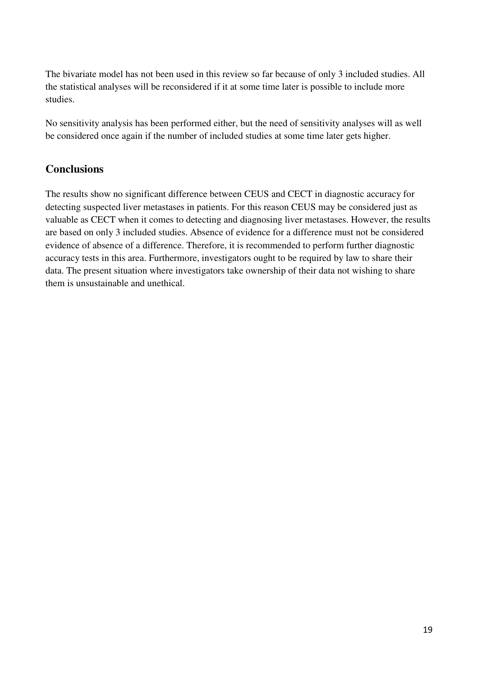The bivariate model has not been used in this review so far because of only 3 included studies. All the statistical analyses will be reconsidered if it at some time later is possible to include more studies.

No sensitivity analysis has been performed either, but the need of sensitivity analyses will as well be considered once again if the number of included studies at some time later gets higher.

## **Conclusions**

The results show no significant difference between CEUS and CECT in diagnostic accuracy for detecting suspected liver metastases in patients. For this reason CEUS may be considered just as valuable as CECT when it comes to detecting and diagnosing liver metastases. However, the results are based on only 3 included studies. Absence of evidence for a difference must not be considered evidence of absence of a difference. Therefore, it is recommended to perform further diagnostic accuracy tests in this area. Furthermore, investigators ought to be required by law to share their data. The present situation where investigators take ownership of their data not wishing to share them is unsustainable and unethical.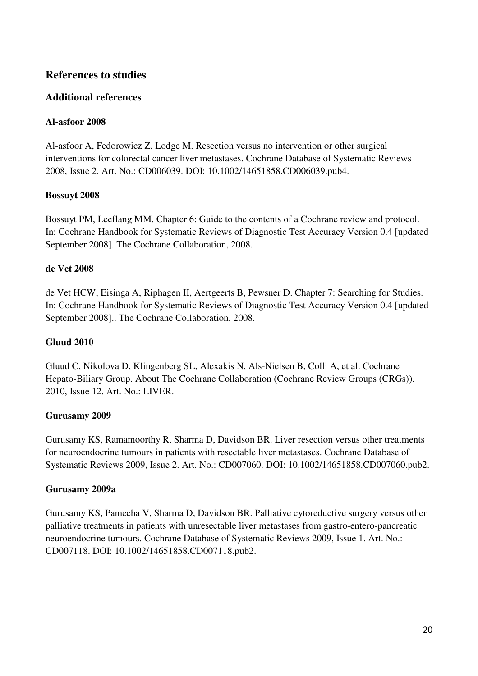## **References to studies**

## **Additional references**

### **Al-asfoor 2008**

Al-asfoor A, Fedorowicz Z, Lodge M. Resection versus no intervention or other surgical interventions for colorectal cancer liver metastases. Cochrane Database of Systematic Reviews 2008, Issue 2. Art. No.: CD006039. DOI: 10.1002/14651858.CD006039.pub4.

#### **Bossuyt 2008**

Bossuyt PM, Leeflang MM. Chapter 6: Guide to the contents of a Cochrane review and protocol. In: Cochrane Handbook for Systematic Reviews of Diagnostic Test Accuracy Version 0.4 [updated September 2008]. The Cochrane Collaboration, 2008.

#### **de Vet 2008**

de Vet HCW, Eisinga A, Riphagen II, Aertgeerts B, Pewsner D. Chapter 7: Searching for Studies. In: Cochrane Handbook for Systematic Reviews of Diagnostic Test Accuracy Version 0.4 [updated September 2008].. The Cochrane Collaboration, 2008.

## **Gluud 2010**

Gluud C, Nikolova D, Klingenberg SL, Alexakis N, Als-Nielsen B, Colli A, et al. Cochrane Hepato-Biliary Group. About The Cochrane Collaboration (Cochrane Review Groups (CRGs)). 2010, Issue 12. Art. No.: LIVER.

#### **Gurusamy 2009**

Gurusamy KS, Ramamoorthy R, Sharma D, Davidson BR. Liver resection versus other treatments for neuroendocrine tumours in patients with resectable liver metastases. Cochrane Database of Systematic Reviews 2009, Issue 2. Art. No.: CD007060. DOI: 10.1002/14651858.CD007060.pub2.

#### **Gurusamy 2009a**

Gurusamy KS, Pamecha V, Sharma D, Davidson BR. Palliative cytoreductive surgery versus other palliative treatments in patients with unresectable liver metastases from gastro-entero-pancreatic neuroendocrine tumours. Cochrane Database of Systematic Reviews 2009, Issue 1. Art. No.: CD007118. DOI: 10.1002/14651858.CD007118.pub2.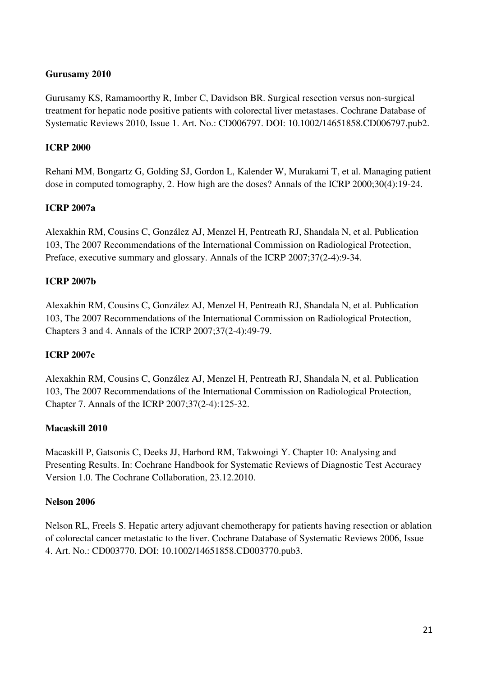#### **Gurusamy 2010**

Gurusamy KS, Ramamoorthy R, Imber C, Davidson BR. Surgical resection versus non-surgical treatment for hepatic node positive patients with colorectal liver metastases. Cochrane Database of Systematic Reviews 2010, Issue 1. Art. No.: CD006797. DOI: 10.1002/14651858.CD006797.pub2.

#### **ICRP 2000**

Rehani MM, Bongartz G, Golding SJ, Gordon L, Kalender W, Murakami T, et al. Managing patient dose in computed tomography, 2. How high are the doses? Annals of the ICRP 2000;30(4):19-24.

#### **ICRP 2007a**

Alexakhin RM, Cousins C, González AJ, Menzel H, Pentreath RJ, Shandala N, et al. Publication 103, The 2007 Recommendations of the International Commission on Radiological Protection, Preface, executive summary and glossary. Annals of the ICRP 2007;37(2-4):9-34.

#### **ICRP 2007b**

Alexakhin RM, Cousins C, González AJ, Menzel H, Pentreath RJ, Shandala N, et al. Publication 103, The 2007 Recommendations of the International Commission on Radiological Protection, Chapters 3 and 4. Annals of the ICRP 2007;37(2-4):49-79.

#### **ICRP 2007c**

Alexakhin RM, Cousins C, González AJ, Menzel H, Pentreath RJ, Shandala N, et al. Publication 103, The 2007 Recommendations of the International Commission on Radiological Protection, Chapter 7. Annals of the ICRP 2007;37(2-4):125-32.

#### **Macaskill 2010**

Macaskill P, Gatsonis C, Deeks JJ, Harbord RM, Takwoingi Y. Chapter 10: Analysing and Presenting Results. In: Cochrane Handbook for Systematic Reviews of Diagnostic Test Accuracy Version 1.0. The Cochrane Collaboration, 23.12.2010.

#### **Nelson 2006**

Nelson RL, Freels S. Hepatic artery adjuvant chemotherapy for patients having resection or ablation of colorectal cancer metastatic to the liver. Cochrane Database of Systematic Reviews 2006, Issue 4. Art. No.: CD003770. DOI: 10.1002/14651858.CD003770.pub3.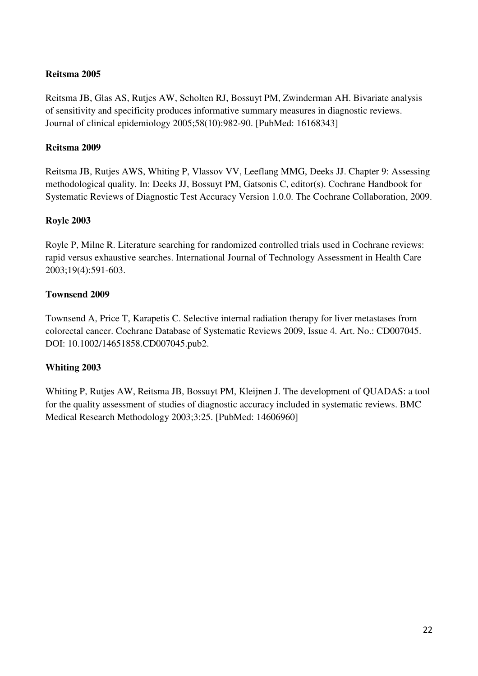### **Reitsma 2005**

Reitsma JB, Glas AS, Rutjes AW, Scholten RJ, Bossuyt PM, Zwinderman AH. Bivariate analysis of sensitivity and specificity produces informative summary measures in diagnostic reviews. Journal of clinical epidemiology 2005;58(10):982-90. [PubMed: 16168343]

#### **Reitsma 2009**

Reitsma JB, Rutjes AWS, Whiting P, Vlassov VV, Leeflang MMG, Deeks JJ. Chapter 9: Assessing methodological quality. In: Deeks JJ, Bossuyt PM, Gatsonis C, editor(s). Cochrane Handbook for Systematic Reviews of Diagnostic Test Accuracy Version 1.0.0. The Cochrane Collaboration, 2009.

#### **Royle 2003**

Royle P, Milne R. Literature searching for randomized controlled trials used in Cochrane reviews: rapid versus exhaustive searches. International Journal of Technology Assessment in Health Care 2003;19(4):591-603.

## **Townsend 2009**

Townsend A, Price T, Karapetis C. Selective internal radiation therapy for liver metastases from colorectal cancer. Cochrane Database of Systematic Reviews 2009, Issue 4. Art. No.: CD007045. DOI: 10.1002/14651858.CD007045.pub2.

## **Whiting 2003**

Whiting P, Rutjes AW, Reitsma JB, Bossuyt PM, Kleijnen J. The development of QUADAS: a tool for the quality assessment of studies of diagnostic accuracy included in systematic reviews. BMC Medical Research Methodology 2003;3:25. [PubMed: 14606960]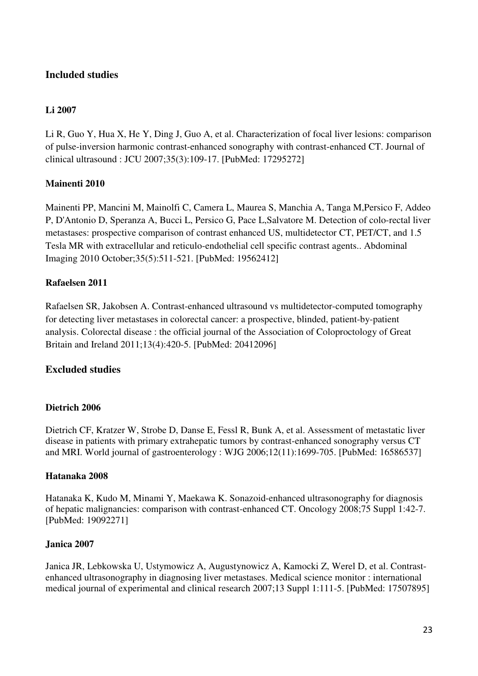## **Included studies**

### **Li 2007**

Li R, Guo Y, Hua X, He Y, Ding J, Guo A, et al. Characterization of focal liver lesions: comparison of pulse-inversion harmonic contrast-enhanced sonography with contrast-enhanced CT. Journal of clinical ultrasound : JCU 2007;35(3):109-17. [PubMed: 17295272]

#### **Mainenti 2010**

Mainenti PP, Mancini M, Mainolfi C, Camera L, Maurea S, Manchia A, Tanga M,Persico F, Addeo P, D'Antonio D, Speranza A, Bucci L, Persico G, Pace L,Salvatore M. Detection of colo-rectal liver metastases: prospective comparison of contrast enhanced US, multidetector CT, PET/CT, and 1.5 Tesla MR with extracellular and reticulo-endothelial cell specific contrast agents.. Abdominal Imaging 2010 October;35(5):511-521. [PubMed: 19562412]

#### **Rafaelsen 2011**

Rafaelsen SR, Jakobsen A. Contrast-enhanced ultrasound vs multidetector-computed tomography for detecting liver metastases in colorectal cancer: a prospective, blinded, patient-by-patient analysis. Colorectal disease : the official journal of the Association of Coloproctology of Great Britain and Ireland 2011;13(4):420-5. [PubMed: 20412096]

## **Excluded studies**

#### **Dietrich 2006**

Dietrich CF, Kratzer W, Strobe D, Danse E, Fessl R, Bunk A, et al. Assessment of metastatic liver disease in patients with primary extrahepatic tumors by contrast-enhanced sonography versus CT and MRI. World journal of gastroenterology : WJG 2006;12(11):1699-705. [PubMed: 16586537]

#### **Hatanaka 2008**

Hatanaka K, Kudo M, Minami Y, Maekawa K. Sonazoid-enhanced ultrasonography for diagnosis of hepatic malignancies: comparison with contrast-enhanced CT. Oncology 2008;75 Suppl 1:42-7. [PubMed: 19092271]

#### **Janica 2007**

Janica JR, Lebkowska U, Ustymowicz A, Augustynowicz A, Kamocki Z, Werel D, et al. Contrastenhanced ultrasonography in diagnosing liver metastases. Medical science monitor : international medical journal of experimental and clinical research 2007;13 Suppl 1:111-5. [PubMed: 17507895]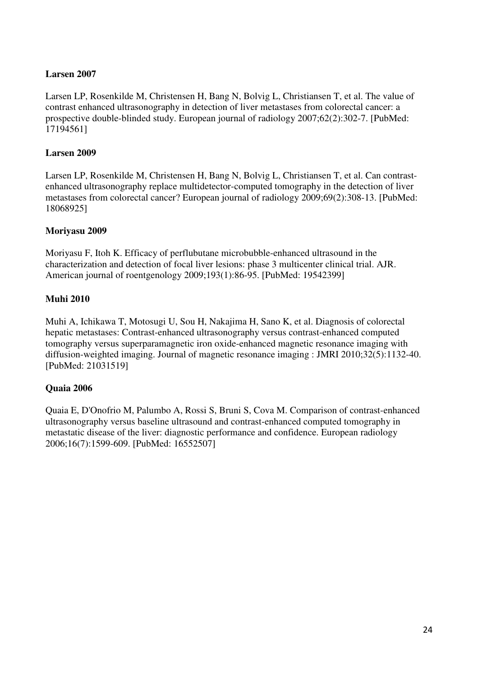### **Larsen 2007**

Larsen LP, Rosenkilde M, Christensen H, Bang N, Bolvig L, Christiansen T, et al. The value of contrast enhanced ultrasonography in detection of liver metastases from colorectal cancer: a prospective double-blinded study. European journal of radiology 2007;62(2):302-7. [PubMed: 17194561]

#### **Larsen 2009**

Larsen LP, Rosenkilde M, Christensen H, Bang N, Bolvig L, Christiansen T, et al. Can contrastenhanced ultrasonography replace multidetector-computed tomography in the detection of liver metastases from colorectal cancer? European journal of radiology 2009;69(2):308-13. [PubMed: 18068925]

#### **Moriyasu 2009**

Moriyasu F, Itoh K. Efficacy of perflubutane microbubble-enhanced ultrasound in the characterization and detection of focal liver lesions: phase 3 multicenter clinical trial. AJR. American journal of roentgenology 2009;193(1):86-95. [PubMed: 19542399]

#### **Muhi 2010**

Muhi A, Ichikawa T, Motosugi U, Sou H, Nakajima H, Sano K, et al. Diagnosis of colorectal hepatic metastases: Contrast-enhanced ultrasonography versus contrast-enhanced computed tomography versus superparamagnetic iron oxide-enhanced magnetic resonance imaging with diffusion-weighted imaging. Journal of magnetic resonance imaging : JMRI 2010;32(5):1132-40. [PubMed: 21031519]

## **Quaia 2006**

Quaia E, D'Onofrio M, Palumbo A, Rossi S, Bruni S, Cova M. Comparison of contrast-enhanced ultrasonography versus baseline ultrasound and contrast-enhanced computed tomography in metastatic disease of the liver: diagnostic performance and confidence. European radiology 2006;16(7):1599-609. [PubMed: 16552507]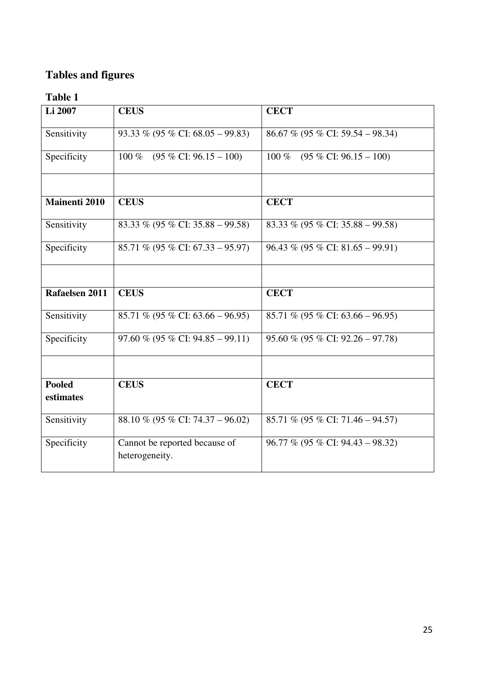# **Tables and figures**

| Li 2007                    | <b>CEUS</b>                                     | <b>CECT</b>                                  |
|----------------------------|-------------------------------------------------|----------------------------------------------|
| Sensitivity                | 93.33 % (95 % CI: 68.05 – 99.83)                | 86.67 % (95 % CI: 59.54 – 98.34)             |
| Specificity                | 100 %<br>$(95\% \text{ CI: } 96.15 - 100)$      | $(95\% \text{ CI: } 96.15 - 100)$<br>$100\%$ |
|                            |                                                 |                                              |
| <b>Mainenti 2010</b>       | <b>CEUS</b>                                     | <b>CECT</b>                                  |
| Sensitivity                | 83.33 % (95 % CI: 35.88 – 99.58)                | 83.33 % (95 % CI: 35.88 – 99.58)             |
| Specificity                | 85.71 % (95 % CI: 67.33 – 95.97)                | $96.43\%$ (95 % CI: 81.65 – 99.91)           |
|                            |                                                 |                                              |
| Rafaelsen 2011             | <b>CEUS</b>                                     | <b>CECT</b>                                  |
| Sensitivity                | 85.71 % (95 % CI: 63.66 – 96.95)                | 85.71 % (95 % CI: 63.66 – 96.95)             |
| Specificity                | $97.60\%$ (95 % CI: 94.85 – 99.11)              | $95.60\%$ (95 % CI: 92.26 – 97.78)           |
|                            |                                                 |                                              |
| <b>Pooled</b><br>estimates | <b>CEUS</b>                                     | <b>CECT</b>                                  |
| Sensitivity                | 88.10 % (95 % CI: 74.37 – 96.02)                | 85.71 % (95 % CI: 71.46 – 94.57)             |
| Specificity                | Cannot be reported because of<br>heterogeneity. | $96.77\%$ (95 % CI: 94.43 – 98.32)           |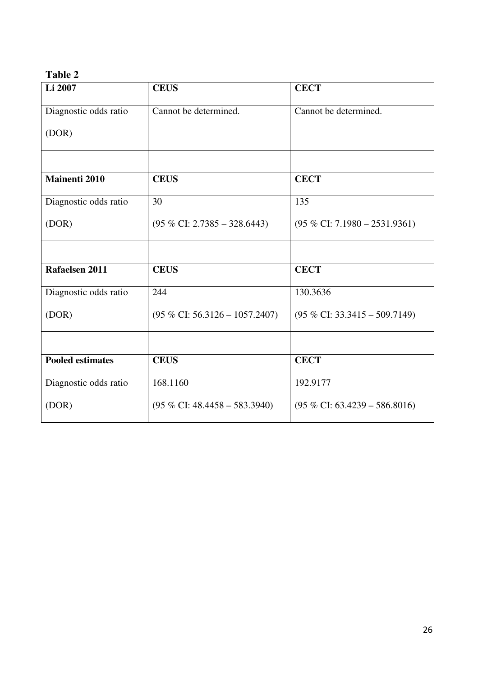| Li 2007                 | <b>CEUS</b>                             | <b>CECT</b>                              |
|-------------------------|-----------------------------------------|------------------------------------------|
| Diagnostic odds ratio   | Cannot be determined.                   | Cannot be determined.                    |
| (DOR)                   |                                         |                                          |
|                         |                                         |                                          |
| <b>Mainenti 2010</b>    | <b>CEUS</b>                             | <b>CECT</b>                              |
| Diagnostic odds ratio   | 30                                      | 135                                      |
| (DOR)                   | $(95\% \text{ CI: } 2.7385 - 328.6443)$ | $(95\% \text{ CI: } 7.1980 - 2531.9361)$ |
|                         |                                         |                                          |
| Rafaelsen 2011          | <b>CEUS</b>                             | <b>CECT</b>                              |
| Diagnostic odds ratio   | 244                                     | 130.3636                                 |
| (DOR)                   | $(95\%$ CI: 56.3126 - 1057.2407)        | $(95\% \text{ CI: } 33.3415 - 509.7149)$ |
|                         |                                         |                                          |
| <b>Pooled estimates</b> | <b>CEUS</b>                             | <b>CECT</b>                              |
| Diagnostic odds ratio   | 168.1160                                | 192.9177                                 |
| (DOR)                   | $(95\%$ CI: 48.4458 – 583.3940)         | $(95\% \text{ CI: } 63.4239 - 586.8016)$ |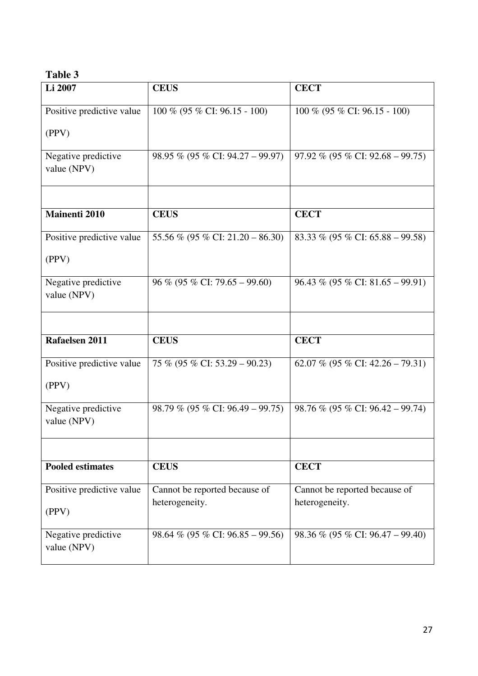| Li 2007                            | <b>CEUS</b>                                     | <b>CECT</b>                                     |
|------------------------------------|-------------------------------------------------|-------------------------------------------------|
| Positive predictive value          | $100\%$ (95 % CI: 96.15 - 100)                  | $100\%$ (95 % CI: 96.15 - 100)                  |
| (PPV)                              |                                                 |                                                 |
| Negative predictive<br>value (NPV) | 98.95 % (95 % CI: 94.27 – 99.97)                | 97.92 % (95 % CI: 92.68 – 99.75)                |
|                                    |                                                 |                                                 |
| <b>Mainenti 2010</b>               | <b>CEUS</b>                                     | <b>CECT</b>                                     |
| Positive predictive value          | 55.56 % (95 % CI: 21.20 – 86.30)                | 83.33 % (95 % CI: 65.88 – 99.58)                |
| (PPV)                              |                                                 |                                                 |
| Negative predictive<br>value (NPV) | $96\%$ (95 % CI: 79.65 – 99.60)                 | $96.43\%$ (95 % CI: 81.65 – 99.91)              |
|                                    |                                                 |                                                 |
| Rafaelsen 2011                     | <b>CEUS</b>                                     | <b>CECT</b>                                     |
| Positive predictive value          | 75 % (95 % CI: 53.29 – 90.23)                   | 62.07 % (95 % CI: $42.26 - 79.31$ )             |
| (PPV)                              |                                                 |                                                 |
| Negative predictive<br>value (NPV) | 98.79 % (95 % CI: 96.49 – 99.75)                | 98.76 % (95 % CI: 96.42 – 99.74)                |
|                                    |                                                 |                                                 |
| <b>Pooled estimates</b>            | <b>CEUS</b>                                     | <b>CECT</b>                                     |
| Positive predictive value          | Cannot be reported because of<br>heterogeneity. | Cannot be reported because of<br>heterogeneity. |
| (PPV)                              |                                                 |                                                 |
| Negative predictive<br>value (NPV) | 98.64 % (95 % CI: 96.85 – 99.56)                | 98.36 % (95 % CI: 96.47 – 99.40)                |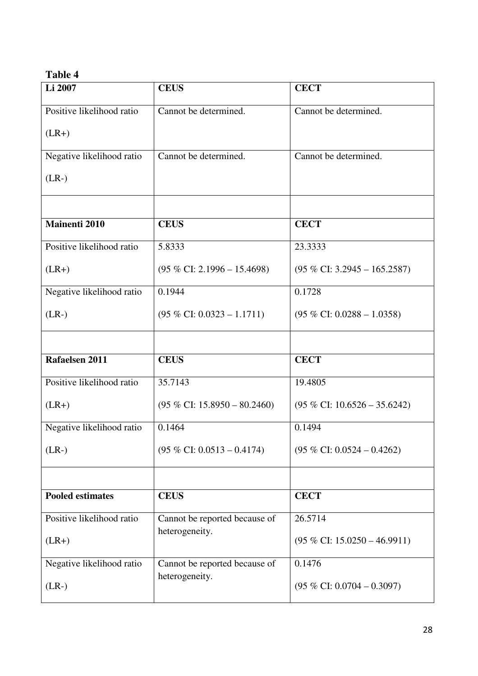| Li 2007                   | <b>CEUS</b>                             | <b>CECT</b>                             |
|---------------------------|-----------------------------------------|-----------------------------------------|
| Positive likelihood ratio | Cannot be determined.                   | Cannot be determined.                   |
| $(LR+)$                   |                                         |                                         |
| Negative likelihood ratio | Cannot be determined.                   | Cannot be determined.                   |
| $(LR-)$                   |                                         |                                         |
|                           |                                         |                                         |
| <b>Mainenti 2010</b>      | <b>CEUS</b>                             | <b>CECT</b>                             |
| Positive likelihood ratio | 5.8333                                  | 23.3333                                 |
| $(LR+)$                   | $(95\% \text{ CI: } 2.1996 - 15.4698)$  | $(95\% \text{ CI: } 3.2945 - 165.2587)$ |
| Negative likelihood ratio | 0.1944                                  | 0.1728                                  |
| $(LR-)$                   | $(95\%$ CI: $0.0323 - 1.1711)$          | $(95\%$ CI: 0.0288 - 1.0358)            |
|                           |                                         |                                         |
| Rafaelsen 2011            | <b>CEUS</b>                             | <b>CECT</b>                             |
| Positive likelihood ratio | 35.7143                                 | 19.4805                                 |
| $(LR+)$                   | $(95\% \text{ CI: } 15.8950 - 80.2460)$ | $(95\% \text{ CI: } 10.6526 - 35.6242)$ |
| Negative likelihood ratio | 0.1464                                  | 0.1494                                  |
| $(LR-)$                   | $(95\% \text{ CI: } 0.0513 - 0.4174)$   | $(95\% \text{ CI: } 0.0524 - 0.4262)$   |
|                           |                                         |                                         |
| <b>Pooled estimates</b>   | <b>CEUS</b>                             | <b>CECT</b>                             |
| Positive likelihood ratio | Cannot be reported because of           | 26.5714                                 |
| $(LR+)$                   | heterogeneity.                          | $(95\%$ CI: $15.0250 - 46.9911)$        |
| Negative likelihood ratio | Cannot be reported because of           | 0.1476                                  |
| $(LR-)$                   | heterogeneity.                          | $(95\% \text{ CI: } 0.0704 - 0.3097)$   |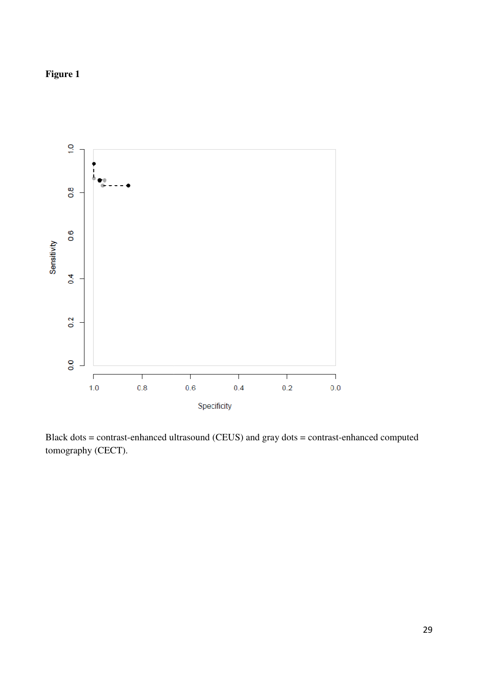## **Figure 1**



Black dots = contrast-enhanced ultrasound (CEUS) and gray dots = contrast-enhanced computed tomography (CECT).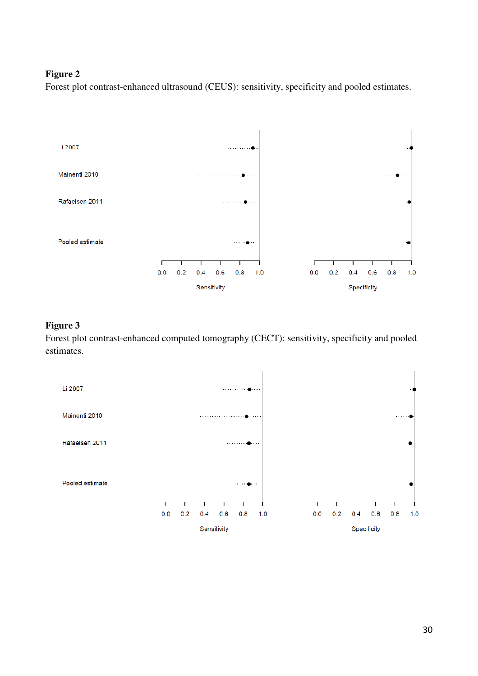#### **Figure 2**

Forest plot contrast-enhanced ultrasound (CEUS): sensitivity, specificity and pooled estimates.



#### **Figure 3**

Forest plot contrast-enhanced computed tomography (CECT): sensitivity, specificity and pooled estimates.

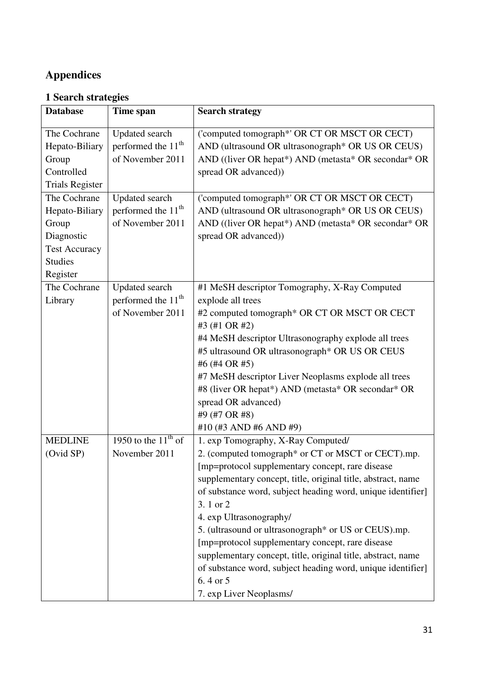# **Appendices**

## **1 Search strategies**

| <b>Database</b>        | Time span                      | <b>Search strategy</b>                                         |
|------------------------|--------------------------------|----------------------------------------------------------------|
|                        |                                |                                                                |
| The Cochrane           | <b>Updated</b> search          | ('computed tomograph*' OR CT OR MSCT OR CECT)                  |
| Hepato-Biliary         | performed the 11 <sup>th</sup> | AND (ultrasound OR ultrasonograph <sup>*</sup> OR US OR CEUS)  |
| Group                  | of November 2011               | AND ((liver OR hepat*) AND (metasta* OR secondar* OR           |
| Controlled             |                                | spread OR advanced))                                           |
| <b>Trials Register</b> |                                |                                                                |
| The Cochrane           | <b>Updated</b> search          | ('computed tomograph*' OR CT OR MSCT OR CECT)                  |
| Hepato-Biliary         | performed the 11 <sup>th</sup> | AND (ultrasound OR ultrasonograph* OR US OR CEUS)              |
| Group                  | of November 2011               | AND ((liver OR hepat*) AND (metasta* OR secondar* OR           |
| Diagnostic             |                                | spread OR advanced))                                           |
| <b>Test Accuracy</b>   |                                |                                                                |
| <b>Studies</b>         |                                |                                                                |
| Register               |                                |                                                                |
| The Cochrane           | Updated search                 | #1 MeSH descriptor Tomography, X-Ray Computed                  |
| Library                | performed the 11 <sup>th</sup> | explode all trees                                              |
|                        | of November 2011               | #2 computed tomograph* OR CT OR MSCT OR CECT                   |
|                        |                                | #3 (#1 OR #2)                                                  |
|                        |                                | #4 MeSH descriptor Ultrasonography explode all trees           |
|                        |                                | #5 ultrasound OR ultrasonograph* OR US OR CEUS                 |
|                        |                                | #6 (#4 OR #5)                                                  |
|                        |                                | #7 MeSH descriptor Liver Neoplasms explode all trees           |
|                        |                                | #8 (liver OR hepat*) AND (metasta* OR secondar* OR             |
|                        |                                | spread OR advanced)                                            |
|                        |                                | #9 (#7 OR #8)                                                  |
|                        |                                | #10 (#3 AND #6 AND #9)                                         |
| <b>MEDLINE</b>         | 1950 to the $11th$ of          | 1. exp Tomography, X-Ray Computed/                             |
| (Ovid SP)              | November 2011                  | 2. (computed tomograph <sup>*</sup> or CT or MSCT or CECT).mp. |
|                        |                                | [mp=protocol supplementary concept, rare disease               |
|                        |                                | supplementary concept, title, original title, abstract, name   |
|                        |                                | of substance word, subject heading word, unique identifier]    |
|                        |                                | 3.1 or 2                                                       |
|                        |                                | 4. exp Ultrasonography/                                        |
|                        |                                | 5. (ultrasound or ultrasonograph* or US or CEUS).mp.           |
|                        |                                | [mp=protocol supplementary concept, rare disease               |
|                        |                                | supplementary concept, title, original title, abstract, name   |
|                        |                                | of substance word, subject heading word, unique identifier]    |
|                        |                                | 6.4 or 5                                                       |
|                        |                                | 7. exp Liver Neoplasms/                                        |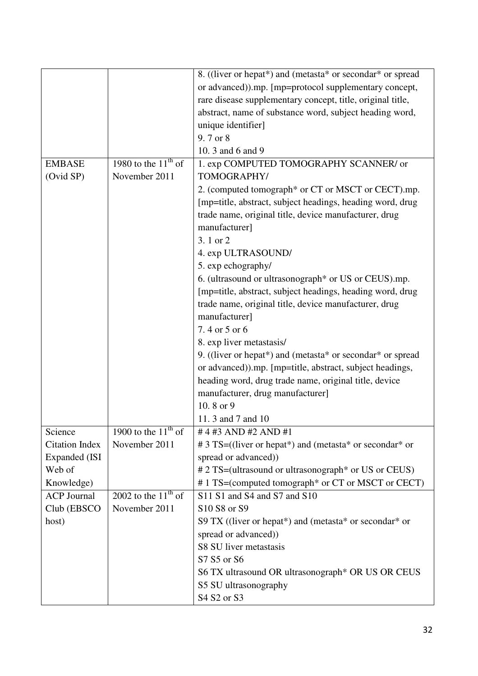|                       |                                     | 8. ((liver or hepat*) and (metasta* or secondar* or spread       |
|-----------------------|-------------------------------------|------------------------------------------------------------------|
|                       |                                     | or advanced)).mp. [mp=protocol supplementary concept,            |
|                       |                                     | rare disease supplementary concept, title, original title,       |
|                       |                                     | abstract, name of substance word, subject heading word,          |
|                       |                                     | unique identifier]                                               |
|                       |                                     | 9.7 or 8                                                         |
|                       |                                     | 10. 3 and 6 and 9                                                |
| <b>EMBASE</b>         | 1980 to the $11^{\text{th}}$ of     | 1. exp COMPUTED TOMOGRAPHY SCANNER/ or                           |
| (Ovid SP)             | November 2011                       | TOMOGRAPHY/                                                      |
|                       |                                     | 2. (computed tomograph <sup>*</sup> or CT or MSCT or CECT).mp.   |
|                       |                                     | [mp=title, abstract, subject headings, heading word, drug        |
|                       |                                     | trade name, original title, device manufacturer, drug            |
|                       |                                     | manufacturer]                                                    |
|                       |                                     | 3.1 or 2                                                         |
|                       |                                     | 4. exp ULTRASOUND/                                               |
|                       |                                     | 5. exp echography/                                               |
|                       |                                     | 6. (ultrasound or ultrasonograph <sup>*</sup> or US or CEUS).mp. |
|                       |                                     | [mp=title, abstract, subject headings, heading word, drug        |
|                       |                                     | trade name, original title, device manufacturer, drug            |
|                       |                                     | manufacturer]                                                    |
|                       |                                     | 7.4 or 5 or 6                                                    |
|                       |                                     | 8. exp liver metastasis/                                         |
|                       |                                     | 9. ((liver or hepat*) and (metasta* or secondar* or spread       |
|                       |                                     | or advanced)).mp. [mp=title, abstract, subject headings,         |
|                       |                                     | heading word, drug trade name, original title, device            |
|                       |                                     | manufacturer, drug manufacturer]                                 |
|                       |                                     | 10.8 or 9                                                        |
|                       |                                     | 11. 3 and 7 and 10                                               |
| Science               | 1900 to the $\overline{11^{th}}$ of | # 4 #3 AND #2 AND #1                                             |
| <b>Citation Index</b> | November 2011                       | # 3 TS=((liver or hepat*) and (metasta* or secondar* or          |
| Expanded (ISI         |                                     | spread or advanced))                                             |
| Web of                |                                     | # 2 TS=(ultrasound or ultrasonograph* or US or CEUS)             |
| Knowledge)            |                                     | #1 TS=(computed tomograph* or CT or MSCT or CECT)                |
| <b>ACP Journal</b>    | 2002 to the $11^{th}$ of            | S11 S1 and S4 and S7 and S10                                     |
| Club (EBSCO           | November 2011                       | S10 S8 or S9                                                     |
| host)                 |                                     | S9 TX ((liver or hepat*) and (metasta* or secondar* or           |
|                       |                                     | spread or advanced))                                             |
|                       |                                     | S8 SU liver metastasis                                           |
|                       |                                     | S7 S5 or S6                                                      |
|                       |                                     | S6 TX ultrasound OR ultrasonograph* OR US OR CEUS                |
|                       |                                     | S5 SU ultrasonography                                            |
|                       |                                     | S4 S2 or S3                                                      |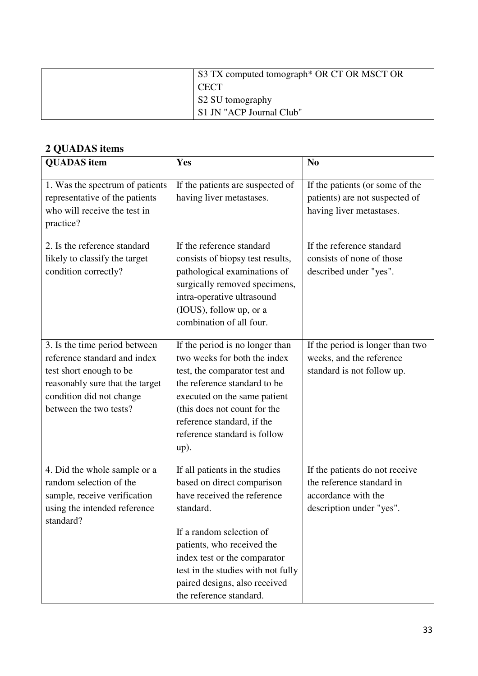| S3 TX computed tomograph <sup>*</sup> OR CT OR MSCT OR |
|--------------------------------------------------------|
| <b>CECT</b>                                            |
| S2 SU tomography                                       |
| S1 JN "ACP Journal Club"                               |

# **2 QUADAS items**

| <b>QUADAS</b> item                                                                                                                                                                | Yes                                                                                                                                                                                                                                                                                                  | N <sub>o</sub>                                                                                                 |
|-----------------------------------------------------------------------------------------------------------------------------------------------------------------------------------|------------------------------------------------------------------------------------------------------------------------------------------------------------------------------------------------------------------------------------------------------------------------------------------------------|----------------------------------------------------------------------------------------------------------------|
| 1. Was the spectrum of patients<br>representative of the patients<br>who will receive the test in<br>practice?                                                                    | If the patients are suspected of<br>having liver metastases.                                                                                                                                                                                                                                         | If the patients (or some of the<br>patients) are not suspected of<br>having liver metastases.                  |
| 2. Is the reference standard<br>likely to classify the target<br>condition correctly?                                                                                             | If the reference standard<br>consists of biopsy test results,<br>pathological examinations of<br>surgically removed specimens,<br>intra-operative ultrasound<br>(IOUS), follow up, or a<br>combination of all four.                                                                                  | If the reference standard<br>consists of none of those<br>described under "yes".                               |
| 3. Is the time period between<br>reference standard and index<br>test short enough to be<br>reasonably sure that the target<br>condition did not change<br>between the two tests? | If the period is no longer than<br>two weeks for both the index<br>test, the comparator test and<br>the reference standard to be<br>executed on the same patient<br>(this does not count for the<br>reference standard, if the<br>reference standard is follow<br>$up)$ .                            | If the period is longer than two<br>weeks, and the reference<br>standard is not follow up.                     |
| 4. Did the whole sample or a<br>random selection of the<br>sample, receive verification<br>using the intended reference<br>standard?                                              | If all patients in the studies<br>based on direct comparison<br>have received the reference<br>standard.<br>If a random selection of<br>patients, who received the<br>index test or the comparator<br>test in the studies with not fully<br>paired designs, also received<br>the reference standard. | If the patients do not receive<br>the reference standard in<br>accordance with the<br>description under "yes". |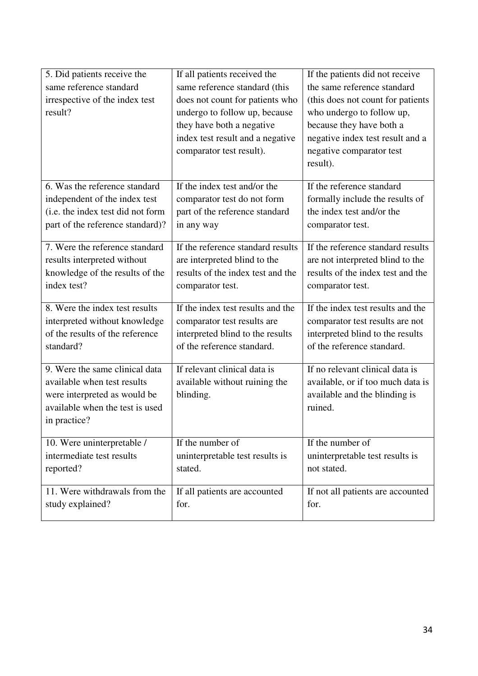| 5. Did patients receive the       | If all patients received the      | If the patients did not receive    |
|-----------------------------------|-----------------------------------|------------------------------------|
| same reference standard           | same reference standard (this     | the same reference standard        |
| irrespective of the index test    | does not count for patients who   | (this does not count for patients) |
| result?                           | undergo to follow up, because     | who undergo to follow up,          |
|                                   | they have both a negative         | because they have both a           |
|                                   | index test result and a negative  | negative index test result and a   |
|                                   | comparator test result).          | negative comparator test           |
|                                   |                                   | result).                           |
| 6. Was the reference standard     | If the index test and/or the      | If the reference standard          |
| independent of the index test     | comparator test do not form       | formally include the results of    |
| (i.e. the index test did not form | part of the reference standard    | the index test and/or the          |
| part of the reference standard)?  | in any way                        | comparator test.                   |
|                                   |                                   |                                    |
| 7. Were the reference standard    | If the reference standard results | If the reference standard results  |
| results interpreted without       | are interpreted blind to the      | are not interpreted blind to the   |
| knowledge of the results of the   | results of the index test and the | results of the index test and the  |
| index test?                       | comparator test.                  | comparator test.                   |
| 8. Were the index test results    | If the index test results and the | If the index test results and the  |
| interpreted without knowledge     | comparator test results are       | comparator test results are not    |
| of the results of the reference   | interpreted blind to the results  | interpreted blind to the results   |
| standard?                         | of the reference standard.        | of the reference standard.         |
|                                   |                                   |                                    |
| 9. Were the same clinical data    | If relevant clinical data is      | If no relevant clinical data is    |
| available when test results       | available without ruining the     | available, or if too much data is  |
| were interpreted as would be      | blinding.                         | available and the blinding is      |
| available when the test is used   |                                   | ruined.                            |
| in practice?                      |                                   |                                    |
| 10. Were uninterpretable /        | If the number of                  | If the number of                   |
| intermediate test results         | uninterpretable test results is   | uninterpretable test results is    |
| reported?                         | stated.                           | not stated.                        |
| 11. Were withdrawals from the     | If all patients are accounted     | If not all patients are accounted  |
| study explained?                  | for.                              | for.                               |
|                                   |                                   |                                    |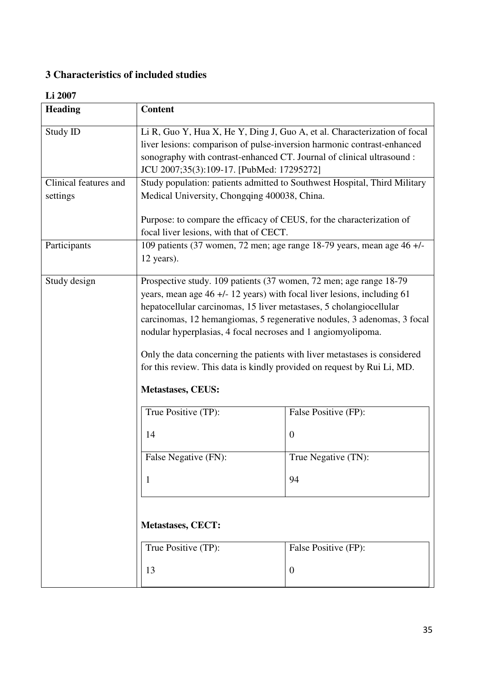## **3 Characteristics of included studies**

## **Li 2007**

| <b>Heading</b>        | <b>Content</b>                                                            |                                                                           |  |  |
|-----------------------|---------------------------------------------------------------------------|---------------------------------------------------------------------------|--|--|
| Study ID              | Li R, Guo Y, Hua X, He Y, Ding J, Guo A, et al. Characterization of focal |                                                                           |  |  |
|                       | liver lesions: comparison of pulse-inversion harmonic contrast-enhanced   |                                                                           |  |  |
|                       | sonography with contrast-enhanced CT. Journal of clinical ultrasound :    |                                                                           |  |  |
|                       | JCU 2007;35(3):109-17. [PubMed: 17295272]                                 |                                                                           |  |  |
| Clinical features and |                                                                           | Study population: patients admitted to Southwest Hospital, Third Military |  |  |
| settings              | Medical University, Chongqing 400038, China.                              |                                                                           |  |  |
|                       | Purpose: to compare the efficacy of CEUS, for the characterization of     |                                                                           |  |  |
|                       | focal liver lesions, with that of CECT.                                   |                                                                           |  |  |
| Participants          | 109 patients (37 women, 72 men; age range 18-79 years, mean age 46 +/-    |                                                                           |  |  |
|                       | 12 years).                                                                |                                                                           |  |  |
| Study design          | Prospective study. 109 patients (37 women, 72 men; age range 18-79        |                                                                           |  |  |
|                       | years, mean age 46 +/- 12 years) with focal liver lesions, including 61   |                                                                           |  |  |
|                       | hepatocellular carcinomas, 15 liver metastases, 5 cholangiocellular       |                                                                           |  |  |
|                       | carcinomas, 12 hemangiomas, 5 regenerative nodules, 3 adenomas, 3 focal   |                                                                           |  |  |
|                       | nodular hyperplasias, 4 focal necroses and 1 angiomyolipoma.              |                                                                           |  |  |
|                       | Only the data concerning the patients with liver metastases is considered |                                                                           |  |  |
|                       | for this review. This data is kindly provided on request by Rui Li, MD.   |                                                                           |  |  |
|                       |                                                                           |                                                                           |  |  |
|                       | <b>Metastases, CEUS:</b>                                                  |                                                                           |  |  |
|                       | True Positive (TP):<br>False Positive (FP):                               |                                                                           |  |  |
|                       | 14                                                                        | $\boldsymbol{0}$                                                          |  |  |
|                       | False Negative (FN):                                                      | True Negative (TN):                                                       |  |  |
|                       | 94<br>$\mathbf{1}$                                                        |                                                                           |  |  |
|                       |                                                                           |                                                                           |  |  |
|                       | <b>Metastases, CECT:</b><br>True Positive (TP):<br>False Positive (FP):   |                                                                           |  |  |
|                       |                                                                           |                                                                           |  |  |
|                       | 13<br>$\boldsymbol{0}$                                                    |                                                                           |  |  |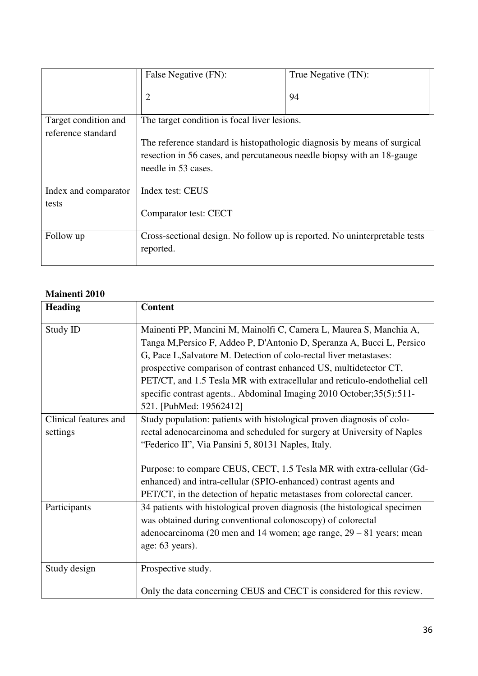|                                            | False Negative (FN):                                                                                                                                                      | True Negative (TN): |  |
|--------------------------------------------|---------------------------------------------------------------------------------------------------------------------------------------------------------------------------|---------------------|--|
|                                            | 2                                                                                                                                                                         | 94                  |  |
| Target condition and<br>reference standard | The target condition is focal liver lesions.                                                                                                                              |                     |  |
|                                            | The reference standard is histopathologic diagnosis by means of surgical<br>resection in 56 cases, and percutaneous needle biopsy with an 18-gauge<br>needle in 53 cases. |                     |  |
| Index and comparator                       | Index test: CEUS                                                                                                                                                          |                     |  |
| tests                                      | Comparator test: CECT                                                                                                                                                     |                     |  |
| Follow up                                  | Cross-sectional design. No follow up is reported. No uninterpretable tests<br>reported.                                                                                   |                     |  |

## **Mainenti 2010**

| <b>Heading</b>                    | <b>Content</b>                                                                                                                                                                                                                                                                                                                                                                                                                                                        |
|-----------------------------------|-----------------------------------------------------------------------------------------------------------------------------------------------------------------------------------------------------------------------------------------------------------------------------------------------------------------------------------------------------------------------------------------------------------------------------------------------------------------------|
| Study ID                          | Mainenti PP, Mancini M, Mainolfi C, Camera L, Maurea S, Manchia A,<br>Tanga M, Persico F, Addeo P, D'Antonio D, Speranza A, Bucci L, Persico<br>G, Pace L, Salvatore M. Detection of colo-rectal liver metastases:<br>prospective comparison of contrast enhanced US, multidetector CT,<br>PET/CT, and 1.5 Tesla MR with extracellular and reticulo-endothelial cell<br>specific contrast agents Abdominal Imaging 2010 October;35(5):511-<br>521. [PubMed: 19562412] |
| Clinical features and<br>settings | Study population: patients with histological proven diagnosis of colo-<br>rectal adenocarcinoma and scheduled for surgery at University of Naples<br>"Federico II", Via Pansini 5, 80131 Naples, Italy.<br>Purpose: to compare CEUS, CECT, 1.5 Tesla MR with extra-cellular (Gd-<br>enhanced) and intra-cellular (SPIO-enhanced) contrast agents and<br>PET/CT, in the detection of hepatic metastases from colorectal cancer.                                        |
| Participants                      | 34 patients with histological proven diagnosis (the histological specimen<br>was obtained during conventional colonoscopy) of colorectal<br>adenocarcinoma (20 men and 14 women; age range, 29 – 81 years; mean<br>age: 63 years).                                                                                                                                                                                                                                    |
| Study design                      | Prospective study.<br>Only the data concerning CEUS and CECT is considered for this review.                                                                                                                                                                                                                                                                                                                                                                           |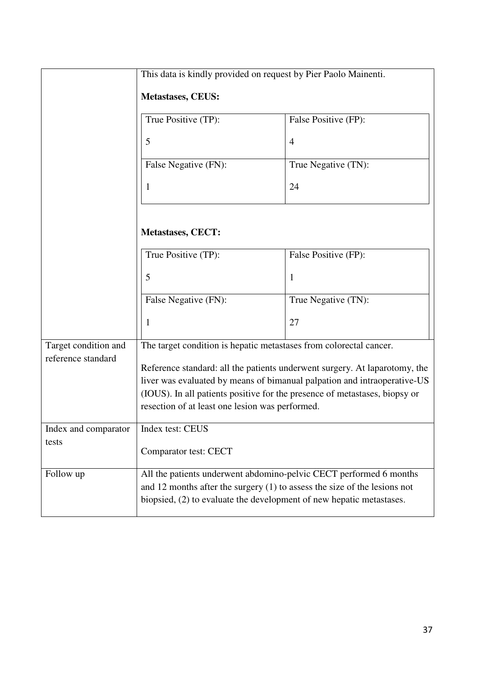|                      | This data is kindly provided on request by Pier Paolo Mainenti.             |                      |  |
|----------------------|-----------------------------------------------------------------------------|----------------------|--|
|                      | <b>Metastases, CEUS:</b>                                                    |                      |  |
|                      | True Positive (TP):                                                         | False Positive (FP): |  |
|                      | 5                                                                           | $\overline{4}$       |  |
|                      | False Negative (FN):                                                        | True Negative (TN):  |  |
|                      | 1                                                                           | 24                   |  |
|                      |                                                                             |                      |  |
|                      | <b>Metastases, CECT:</b>                                                    |                      |  |
|                      | True Positive (TP):                                                         | False Positive (FP): |  |
|                      | 5                                                                           | 1                    |  |
|                      | False Negative (FN):                                                        | True Negative (TN):  |  |
|                      | 1                                                                           | 27                   |  |
| Target condition and | The target condition is hepatic metastases from colorectal cancer.          |                      |  |
| reference standard   | Reference standard: all the patients underwent surgery. At laparotomy, the  |                      |  |
|                      | liver was evaluated by means of bimanual palpation and intraoperative-US    |                      |  |
|                      | (IOUS). In all patients positive for the presence of metastases, biopsy or  |                      |  |
|                      | resection of at least one lesion was performed.                             |                      |  |
| Index and comparator | Index test: CEUS                                                            |                      |  |
| tests                | Comparator test: CECT                                                       |                      |  |
| Follow up            | All the patients underwent abdomino-pelvic CECT performed 6 months          |                      |  |
|                      | and 12 months after the surgery $(1)$ to assess the size of the lesions not |                      |  |
|                      | biopsied, (2) to evaluate the development of new hepatic metastases.        |                      |  |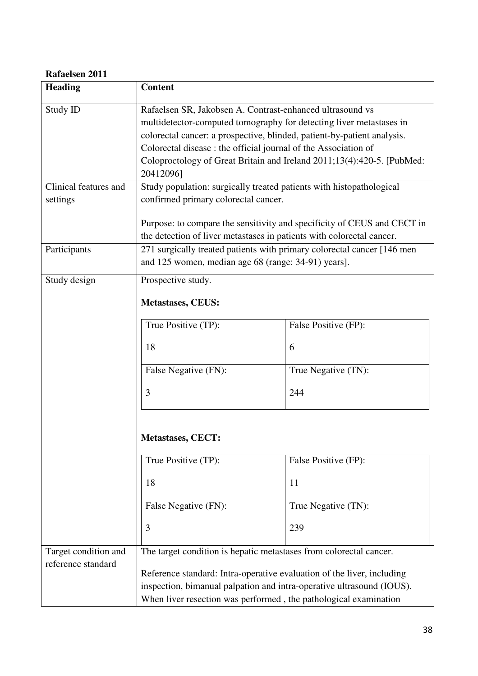#### **Rafaelsen 2011**

| <b>Heading</b>                             | <b>Content</b>                                                                                                                                                                                                      |                      |  |
|--------------------------------------------|---------------------------------------------------------------------------------------------------------------------------------------------------------------------------------------------------------------------|----------------------|--|
| Study ID                                   | Rafaelsen SR, Jakobsen A. Contrast-enhanced ultrasound vs                                                                                                                                                           |                      |  |
|                                            | multidetector-computed tomography for detecting liver metastases in                                                                                                                                                 |                      |  |
|                                            | colorectal cancer: a prospective, blinded, patient-by-patient analysis.                                                                                                                                             |                      |  |
|                                            | Colorectal disease : the official journal of the Association of                                                                                                                                                     |                      |  |
|                                            | Coloproctology of Great Britain and Ireland 2011;13(4):420-5. [PubMed:<br>20412096]                                                                                                                                 |                      |  |
| Clinical features and                      | Study population: surgically treated patients with histopathological                                                                                                                                                |                      |  |
| settings                                   | confirmed primary colorectal cancer.                                                                                                                                                                                |                      |  |
|                                            | Purpose: to compare the sensitivity and specificity of CEUS and CECT in                                                                                                                                             |                      |  |
|                                            | the detection of liver metastases in patients with colorectal cancer.                                                                                                                                               |                      |  |
| Participants                               | 271 surgically treated patients with primary colorectal cancer [146 men]                                                                                                                                            |                      |  |
|                                            | and 125 women, median age 68 (range: 34-91) years].                                                                                                                                                                 |                      |  |
| Study design                               | Prospective study.                                                                                                                                                                                                  |                      |  |
|                                            | <b>Metastases, CEUS:</b>                                                                                                                                                                                            |                      |  |
|                                            | True Positive (TP):                                                                                                                                                                                                 | False Positive (FP): |  |
|                                            | 18                                                                                                                                                                                                                  | 6                    |  |
|                                            | False Negative (FN):                                                                                                                                                                                                | True Negative (TN):  |  |
|                                            | 3                                                                                                                                                                                                                   | 244                  |  |
|                                            |                                                                                                                                                                                                                     |                      |  |
|                                            | <b>Metastases, CECT:</b>                                                                                                                                                                                            |                      |  |
|                                            | True Positive (TP):                                                                                                                                                                                                 | False Positive (FP): |  |
|                                            | 18                                                                                                                                                                                                                  | 11                   |  |
|                                            | False Negative (FN):                                                                                                                                                                                                | True Negative (TN):  |  |
|                                            | 3                                                                                                                                                                                                                   | 239                  |  |
| Target condition and<br>reference standard | The target condition is hepatic metastases from colorectal cancer.                                                                                                                                                  |                      |  |
|                                            | Reference standard: Intra-operative evaluation of the liver, including<br>inspection, bimanual palpation and intra-operative ultrasound (IOUS).<br>When liver resection was performed, the pathological examination |                      |  |
|                                            |                                                                                                                                                                                                                     |                      |  |
|                                            |                                                                                                                                                                                                                     |                      |  |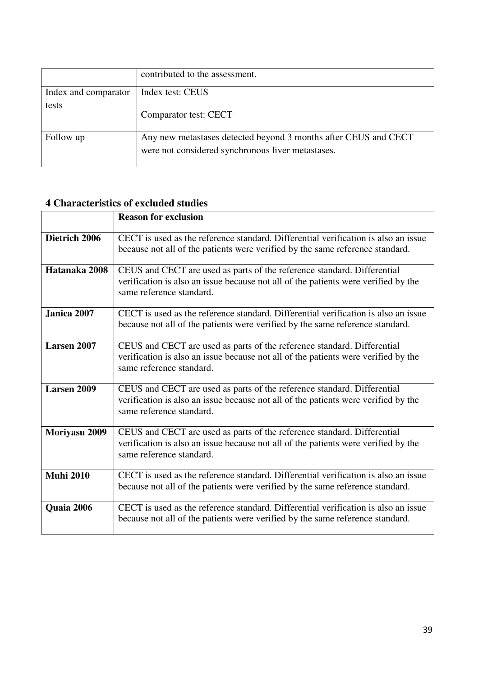|                      | contributed to the assessment.                                                                                       |
|----------------------|----------------------------------------------------------------------------------------------------------------------|
| Index and comparator | Index test: CEUS                                                                                                     |
| tests                | Comparator test: CECT                                                                                                |
| Follow up            | Any new metastases detected beyond 3 months after CEUS and CECT<br>were not considered synchronous liver metastases. |

## **4 Characteristics of excluded studies**

|                    | <b>Reason for exclusion</b>                                                                                                                                                               |  |  |
|--------------------|-------------------------------------------------------------------------------------------------------------------------------------------------------------------------------------------|--|--|
| Dietrich 2006      | CECT is used as the reference standard. Differential verification is also an issue<br>because not all of the patients were verified by the same reference standard.                       |  |  |
| Hatanaka 2008      | CEUS and CECT are used as parts of the reference standard. Differential<br>verification is also an issue because not all of the patients were verified by the<br>same reference standard. |  |  |
| Janica 2007        | CECT is used as the reference standard. Differential verification is also an issue<br>because not all of the patients were verified by the same reference standard.                       |  |  |
| Larsen 2007        | CEUS and CECT are used as parts of the reference standard. Differential<br>verification is also an issue because not all of the patients were verified by the<br>same reference standard. |  |  |
| <b>Larsen 2009</b> | CEUS and CECT are used as parts of the reference standard. Differential<br>verification is also an issue because not all of the patients were verified by the<br>same reference standard. |  |  |
| Moriyasu 2009      | CEUS and CECT are used as parts of the reference standard. Differential<br>verification is also an issue because not all of the patients were verified by the<br>same reference standard. |  |  |
| <b>Muhi 2010</b>   | CECT is used as the reference standard. Differential verification is also an issue<br>because not all of the patients were verified by the same reference standard.                       |  |  |
| Quaia 2006         | CECT is used as the reference standard. Differential verification is also an issue<br>because not all of the patients were verified by the same reference standard.                       |  |  |